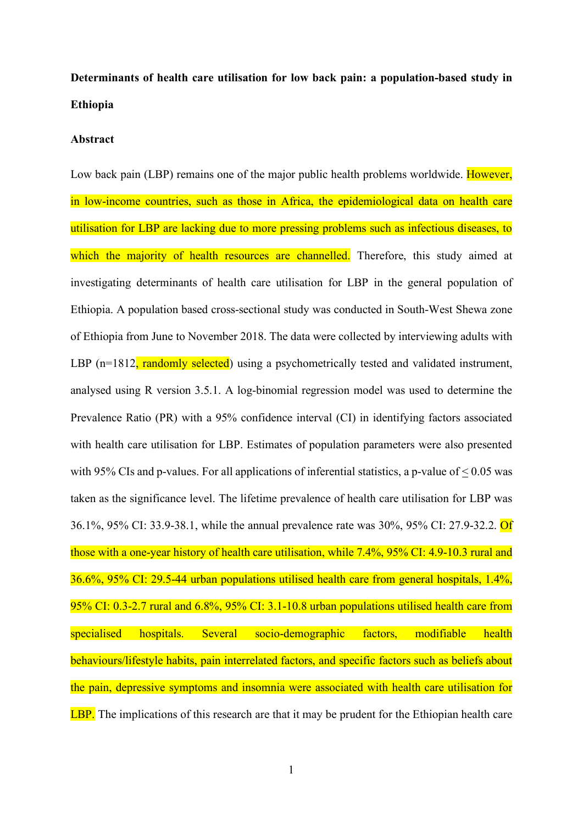# **Determinants of health care utilisation for low back pain: a population-based study in Ethiopia**

#### **Abstract**

Low back pain (LBP) remains one of the major public health problems worldwide. However, in low-income countries, such as those in Africa, the epidemiological data on health care utilisation for LBP are lacking due to more pressing problems such as infectious diseases, to which the majority of health resources are channelled. Therefore, this study aimed at investigating determinants of health care utilisation for LBP in the general population of Ethiopia. A population based cross-sectional study was conducted in South-West Shewa zone of Ethiopia from June to November 2018. The data were collected by interviewing adults with LBP (n=1812, randomly selected) using a psychometrically tested and validated instrument, analysed using R version 3.5.1. A log-binomial regression model was used to determine the Prevalence Ratio (PR) with a 95% confidence interval (CI) in identifying factors associated with health care utilisation for LBP. Estimates of population parameters were also presented with 95% CIs and p-values. For all applications of inferential statistics, a p-value of  $\leq 0.05$  was taken as the significance level. The lifetime prevalence of health care utilisation for LBP was 36.1%, 95% CI: 33.9-38.1, while the annual prevalence rate was 30%, 95% CI: 27.9-32.2. Of those with a one-year history of health care utilisation, while 7.4%, 95% CI: 4.9-10.3 rural and 36.6%, 95% CI: 29.5-44 urban populations utilised health care from general hospitals, 1.4%, 95% CI: 0.3-2.7 rural and 6.8%, 95% CI: 3.1-10.8 urban populations utilised health care from specialised hospitals. Several socio-demographic factors, modifiable health behaviours/lifestyle habits, pain interrelated factors, and specific factors such as beliefs about the pain, depressive symptoms and insomnia were associated with health care utilisation for LBP. The implications of this research are that it may be prudent for the Ethiopian health care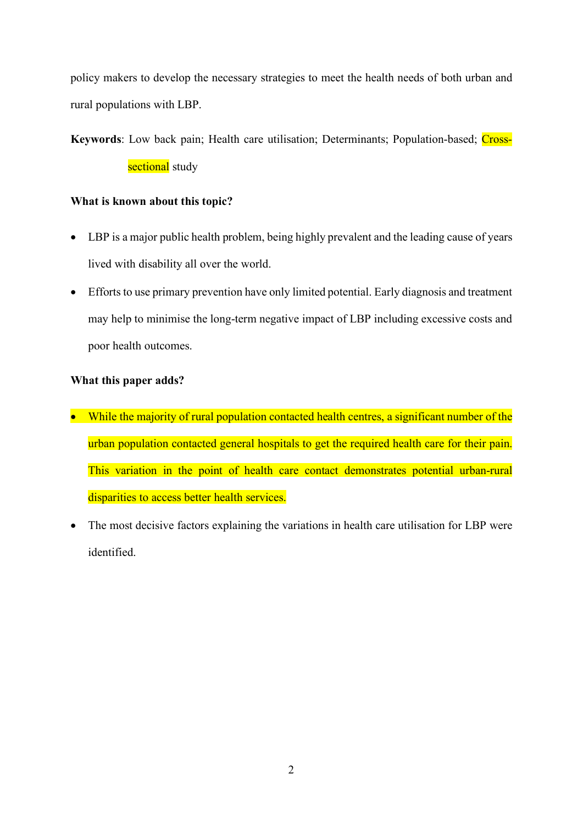policy makers to develop the necessary strategies to meet the health needs of both urban and rural populations with LBP.

# Keywords: Low back pain; Health care utilisation; Determinants; Population-based; Crosssectional study

### **What is known about this topic?**

- LBP is a major public health problem, being highly prevalent and the leading cause of years lived with disability all over the world.
- Efforts to use primary prevention have only limited potential. Early diagnosis and treatment may help to minimise the long-term negative impact of LBP including excessive costs and poor health outcomes.

### **What this paper adds?**

- While the majority of rural population contacted health centres, a significant number of the urban population contacted general hospitals to get the required health care for their pain. This variation in the point of health care contact demonstrates potential urban-rural disparities to access better health services.
- The most decisive factors explaining the variations in health care utilisation for LBP were identified.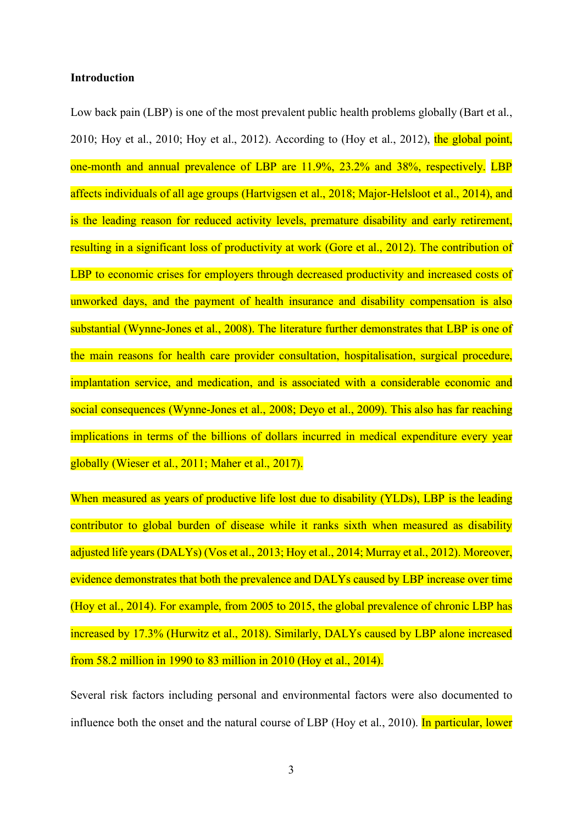#### **Introduction**

Low back pain (LBP) is one of the most prevalent public health problems globally (Bart et al., 2010; Hoy et al., 2010; Hoy et al., 2012). According to (Hoy et al., 2012), the global point, one-month and annual prevalence of LBP are 11.9%, 23.2% and 38%, respectively. LBP affects individuals of all age groups (Hartvigsen et al., 2018; Major-Helsloot et al., 2014), and is the leading reason for reduced activity levels, premature disability and early retirement, resulting in a significant loss of productivity at work (Gore et al., 2012). The contribution of LBP to economic crises for employers through decreased productivity and increased costs of unworked days, and the payment of health insurance and disability compensation is also substantial (Wynne-Jones et al., 2008). The literature further demonstrates that LBP is one of the main reasons for health care provider consultation, hospitalisation, surgical procedure, implantation service, and medication, and is associated with a considerable economic and social consequences (Wynne-Jones et al., 2008; Deyo et al., 2009). This also has far reaching implications in terms of the billions of dollars incurred in medical expenditure every year globally (Wieser et al., 2011; Maher et al., 2017).

When measured as years of productive life lost due to disability (YLDs), LBP is the leading contributor to global burden of disease while it ranks sixth when measured as disability adjusted life years(DALYs) (Vos et al., 2013; Hoy et al., 2014; Murray et al., 2012). Moreover, evidence demonstrates that both the prevalence and DALYs caused by LBP increase over time (Hoy et al., 2014). For example, from 2005 to 2015, the global prevalence of chronic LBP has increased by 17.3% (Hurwitz et al., 2018). Similarly, DALYs caused by LBP alone increased from 58.2 million in 1990 to 83 million in 2010 (Hoy et al., 2014).

Several risk factors including personal and environmental factors were also documented to influence both the onset and the natural course of LBP (Hoy et al., 2010). In particular, lower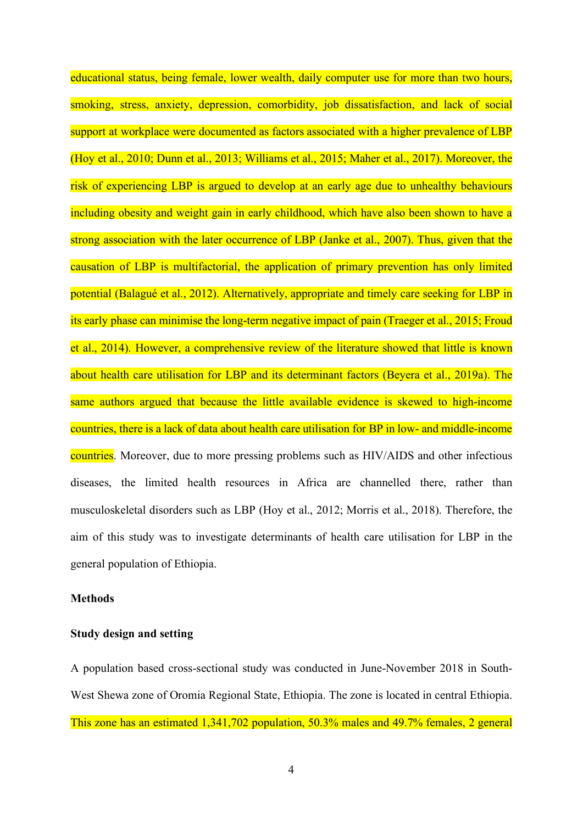educational status, being female, lower wealth, daily computer use for more than two hours, smoking, stress, anxiety, depression, comorbidity, job dissatisfaction, and lack of social support at workplace were documented as factors associated with a higher prevalence of LBP (Hoy et al., 2010; Dunn et al., 2013; Williams et al., 2015; Maher et al., 2017). Moreover, the risk of experiencing LBP is argued to develop at an early age due to unhealthy behaviours including obesity and weight gain in early childhood, which have also been shown to have a strong association with the later occurrence of LBP (Janke et al., 2007). Thus, given that the causation of LBP is multifactorial, the application of primary prevention has only limited potential (Balagué et al., 2012). Alternatively, appropriate and timely care seeking for LBP in its early phase can minimise the long-term negative impact of pain (Traeger et al., 2015; Froud et al., 2014). However, a comprehensive review of the literature showed that little is known about health care utilisation for LBP and its determinant factors (Beyera et al., 2019a). The same authors argued that because the little available evidence is skewed to high-income countries, there is a lack of data about health care utilisation for BP in low- and middle-income countries. Moreover, due to more pressing problems such as HIV/AIDS and other infectious diseases, the limited health resources in Africa are channelled there, rather than musculoskeletal disorders such as LBP (Hoy et al., 2012; Morris et al., 2018). Therefore, the aim of this study was to investigate determinants of health care utilisation for LBP in the general population of Ethiopia.

#### **Methods**

#### **Study design and setting**

A population based cross-sectional study was conducted in June-November 2018 in South-West Shewa zone of Oromia Regional State, Ethiopia. The zone is located in central Ethiopia. This zone has an estimated 1,341,702 population, 50.3% males and 49.7% females, 2 general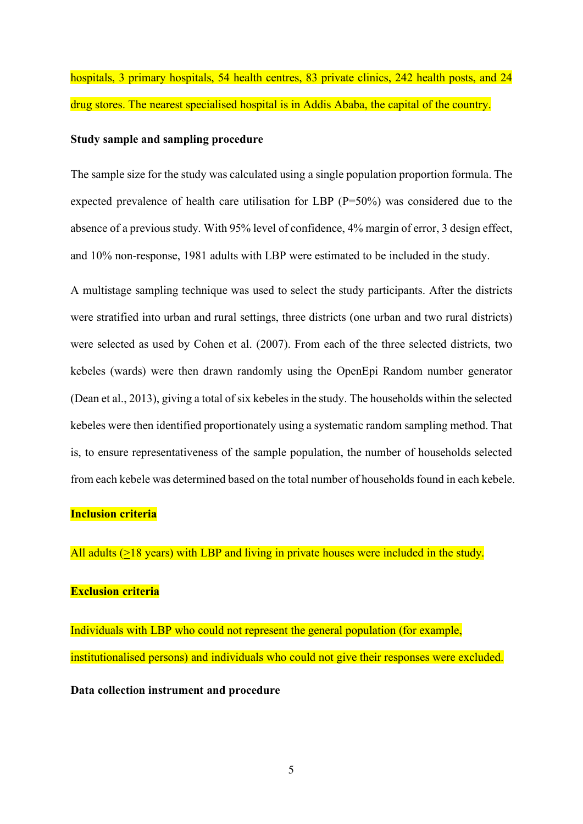hospitals, 3 primary hospitals, 54 health centres, 83 private clinics, 242 health posts, and 24 drug stores. The nearest specialised hospital is in Addis Ababa, the capital of the country.

#### **Study sample and sampling procedure**

The sample size for the study was calculated using a single population proportion formula. The expected prevalence of health care utilisation for LBP (P=50%) was considered due to the absence of a previous study. With 95% level of confidence, 4% margin of error, 3 design effect, and 10% non-response, 1981 adults with LBP were estimated to be included in the study.

A multistage sampling technique was used to select the study participants. After the districts were stratified into urban and rural settings, three districts (one urban and two rural districts) were selected as used by Cohen et al. (2007). From each of the three selected districts, two kebeles (wards) were then drawn randomly using the OpenEpi Random number generator (Dean et al., 2013), giving a total of six kebeles in the study. The households within the selected kebeles were then identified proportionately using a systematic random sampling method. That is, to ensure representativeness of the sample population, the number of households selected from each kebele was determined based on the total number of households found in each kebele.

#### **Inclusion criteria**

All adults (>18 years) with LBP and living in private houses were included in the study.

#### **Exclusion criteria**

Individuals with LBP who could not represent the general population (for example, institutionalised persons) and individuals who could not give their responses were excluded.

**Data collection instrument and procedure**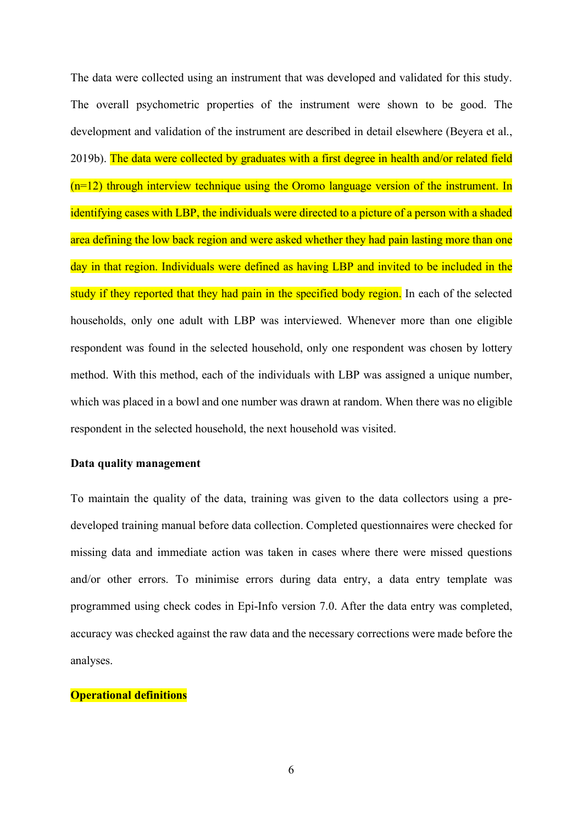The data were collected using an instrument that was developed and validated for this study. The overall psychometric properties of the instrument were shown to be good. The development and validation of the instrument are described in detail elsewhere (Beyera et al., 2019b). The data were collected by graduates with a first degree in health and/or related field (n=12) through interview technique using the Oromo language version of the instrument. In identifying cases with LBP, the individuals were directed to a picture of a person with a shaded area defining the low back region and were asked whether they had pain lasting more than one day in that region. Individuals were defined as having LBP and invited to be included in the study if they reported that they had pain in the specified body region. In each of the selected households, only one adult with LBP was interviewed. Whenever more than one eligible respondent was found in the selected household, only one respondent was chosen by lottery method. With this method, each of the individuals with LBP was assigned a unique number, which was placed in a bowl and one number was drawn at random. When there was no eligible respondent in the selected household, the next household was visited.

#### **Data quality management**

To maintain the quality of the data, training was given to the data collectors using a predeveloped training manual before data collection. Completed questionnaires were checked for missing data and immediate action was taken in cases where there were missed questions and/or other errors. To minimise errors during data entry, a data entry template was programmed using check codes in Epi-Info version 7.0. After the data entry was completed, accuracy was checked against the raw data and the necessary corrections were made before the analyses.

#### **Operational definitions**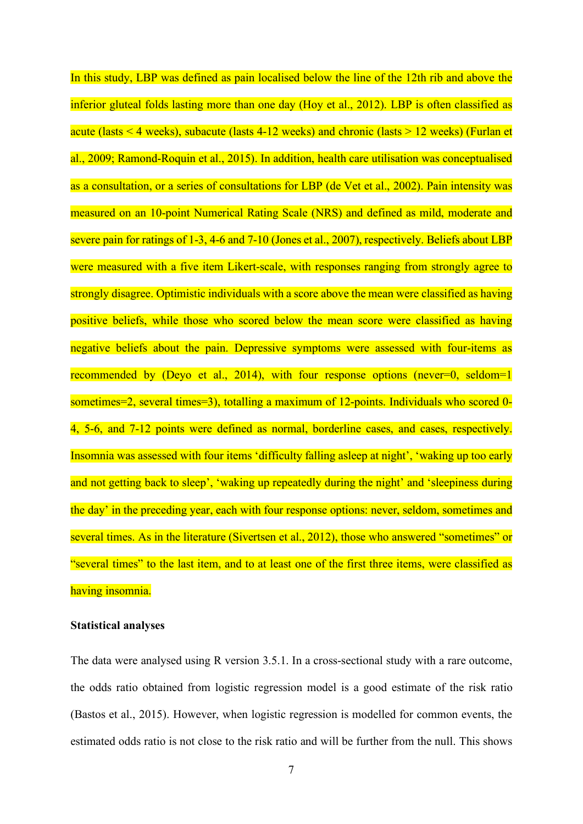In this study, LBP was defined as pain localised below the line of the 12th rib and above the inferior gluteal folds lasting more than one day (Hoy et al., 2012). LBP is often classified as acute (lasts < 4 weeks), subacute (lasts 4-12 weeks) and chronic (lasts > 12 weeks) (Furlan et al., 2009; Ramond-Roquin et al., 2015). In addition, health care utilisation was conceptualised as a consultation, or a series of consultations for LBP (de Vet et al., 2002). Pain intensity was measured on an 10-point Numerical Rating Scale (NRS) and defined as mild, moderate and severe pain for ratings of 1-3, 4-6 and 7-10 (Jones et al., 2007), respectively. Beliefs about LBP were measured with a five item Likert-scale, with responses ranging from strongly agree to strongly disagree. Optimistic individuals with a score above the mean were classified as having positive beliefs, while those who scored below the mean score were classified as having negative beliefs about the pain. Depressive symptoms were assessed with four-items as recommended by (Deyo et al., 2014), with four response options (never=0, seldom=1 sometimes=2, several times=3), totalling a maximum of 12-points. Individuals who scored 0- 4, 5-6, and 7-12 points were defined as normal, borderline cases, and cases, respectively. Insomnia was assessed with four items 'difficulty falling asleep at night', 'waking up too early and not getting back to sleep', 'waking up repeatedly during the night' and 'sleepiness during the day' in the preceding year, each with four response options: never, seldom, sometimes and several times. As in the literature (Sivertsen et al., 2012), those who answered "sometimes" or "several times" to the last item, and to at least one of the first three items, were classified as having insomnia.

#### **Statistical analyses**

The data were analysed using R version 3.5.1. In a cross-sectional study with a rare outcome, the odds ratio obtained from logistic regression model is a good estimate of the risk ratio (Bastos et al., 2015). However, when logistic regression is modelled for common events, the estimated odds ratio is not close to the risk ratio and will be further from the null. This shows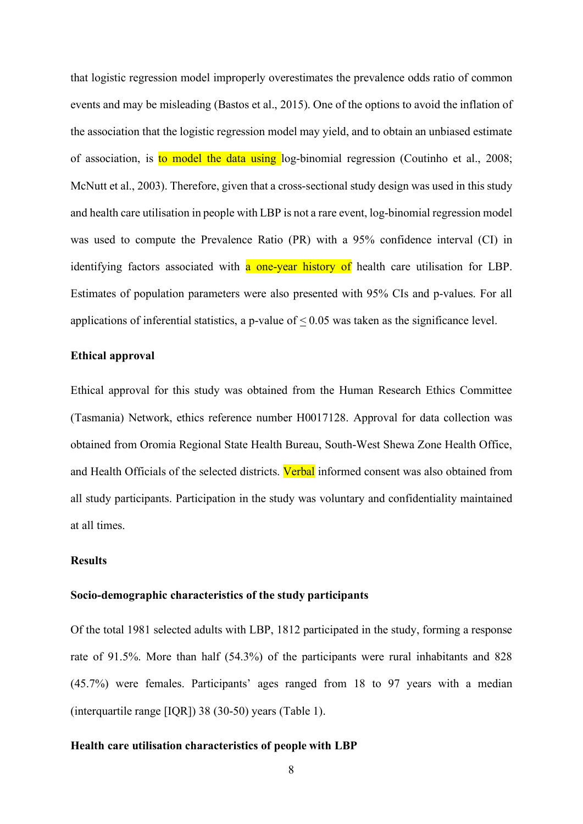that logistic regression model improperly overestimates the prevalence odds ratio of common events and may be misleading (Bastos et al., 2015). One of the options to avoid the inflation of the association that the logistic regression model may yield, and to obtain an unbiased estimate of association, is to model the data using log-binomial regression (Coutinho et al., 2008; McNutt et al., 2003). Therefore, given that a cross-sectional study design was used in this study and health care utilisation in people with LBP is not a rare event, log-binomial regression model was used to compute the Prevalence Ratio (PR) with a 95% confidence interval (CI) in identifying factors associated with a one-year history of health care utilisation for LBP. Estimates of population parameters were also presented with 95% CIs and p-values. For all applications of inferential statistics, a p-value of  $\leq 0.05$  was taken as the significance level.

#### **Ethical approval**

Ethical approval for this study was obtained from the Human Research Ethics Committee (Tasmania) Network, ethics reference number H0017128. Approval for data collection was obtained from Oromia Regional State Health Bureau, South-West Shewa Zone Health Office, and Health Officials of the selected districts. Verbal informed consent was also obtained from all study participants. Participation in the study was voluntary and confidentiality maintained at all times.

#### **Results**

#### **Socio-demographic characteristics of the study participants**

Of the total 1981 selected adults with LBP, 1812 participated in the study, forming a response rate of 91.5%. More than half (54.3%) of the participants were rural inhabitants and 828 (45.7%) were females. Participants' ages ranged from 18 to 97 years with a median (interquartile range [IQR]) 38 (30-50) years (Table 1).

### **Health care utilisation characteristics of people with LBP**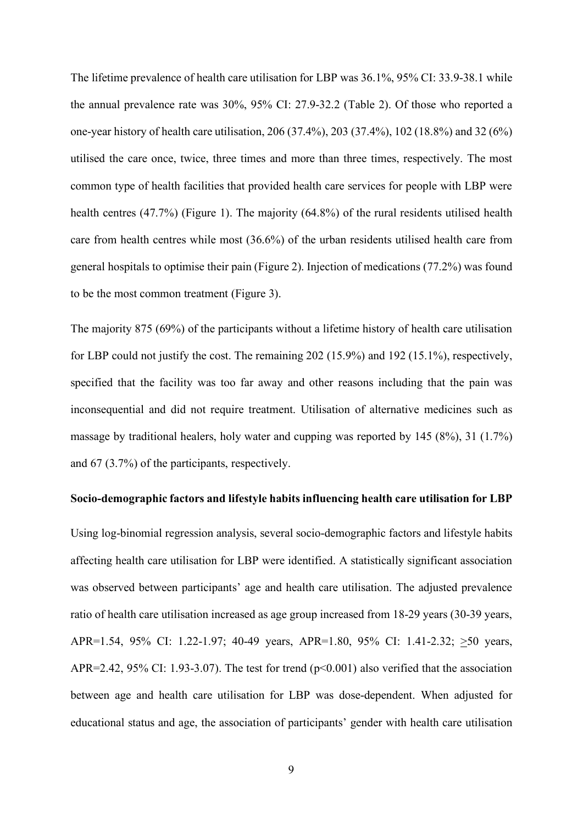The lifetime prevalence of health care utilisation for LBP was 36.1%, 95% CI: 33.9-38.1 while the annual prevalence rate was 30%, 95% CI: 27.9-32.2 (Table 2). Of those who reported a one-year history of health care utilisation, 206 (37.4%), 203 (37.4%), 102 (18.8%) and 32 (6%) utilised the care once, twice, three times and more than three times, respectively. The most common type of health facilities that provided health care services for people with LBP were health centres (47.7%) (Figure 1). The majority (64.8%) of the rural residents utilised health care from health centres while most (36.6%) of the urban residents utilised health care from general hospitals to optimise their pain (Figure 2). Injection of medications (77.2%) was found to be the most common treatment (Figure 3).

The majority 875 (69%) of the participants without a lifetime history of health care utilisation for LBP could not justify the cost. The remaining 202 (15.9%) and 192 (15.1%), respectively, specified that the facility was too far away and other reasons including that the pain was inconsequential and did not require treatment. Utilisation of alternative medicines such as massage by traditional healers, holy water and cupping was reported by 145 (8%), 31 (1.7%) and 67 (3.7%) of the participants, respectively.

#### **Socio-demographic factors and lifestyle habits influencing health care utilisation for LBP**

Using log-binomial regression analysis, several socio-demographic factors and lifestyle habits affecting health care utilisation for LBP were identified. A statistically significant association was observed between participants' age and health care utilisation. The adjusted prevalence ratio of health care utilisation increased as age group increased from 18-29 years (30-39 years, APR=1.54, 95% CI: 1.22-1.97; 40-49 years, APR=1.80, 95% CI: 1.41-2.32; >50 years, APR=2.42, 95% CI: 1.93-3.07). The test for trend (p<0.001) also verified that the association between age and health care utilisation for LBP was dose-dependent. When adjusted for educational status and age, the association of participants' gender with health care utilisation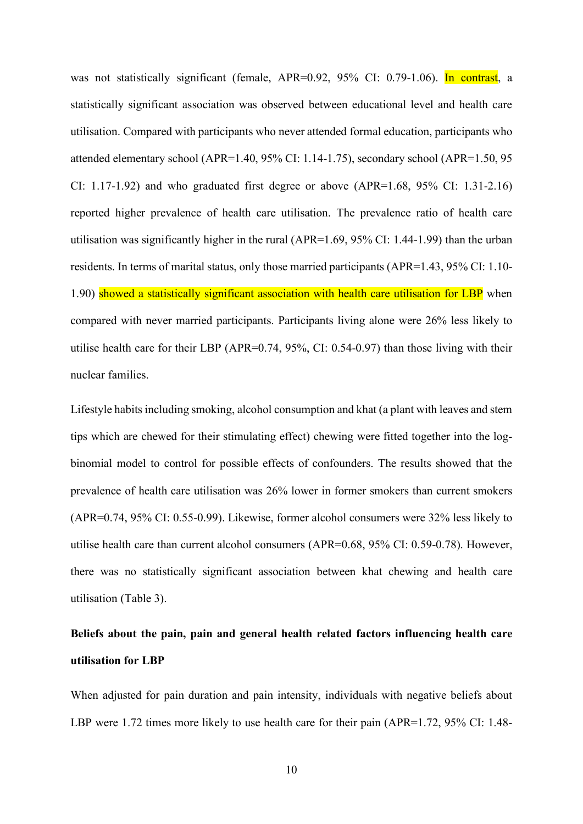was not statistically significant (female, APR=0.92, 95% CI: 0.79-1.06). In contrast, a statistically significant association was observed between educational level and health care utilisation. Compared with participants who never attended formal education, participants who attended elementary school (APR=1.40, 95% CI: 1.14-1.75), secondary school (APR=1.50, 95 CI: 1.17-1.92) and who graduated first degree or above (APR=1.68, 95% CI: 1.31-2.16) reported higher prevalence of health care utilisation. The prevalence ratio of health care utilisation was significantly higher in the rural (APR=1.69, 95% CI: 1.44-1.99) than the urban residents. In terms of marital status, only those married participants (APR=1.43, 95% CI: 1.10- 1.90) showed a statistically significant association with health care utilisation for LBP when compared with never married participants. Participants living alone were 26% less likely to utilise health care for their LBP (APR=0.74, 95%, CI: 0.54-0.97) than those living with their nuclear families.

Lifestyle habits including smoking, alcohol consumption and khat (a plant with leaves and stem tips which are chewed for their stimulating effect) chewing were fitted together into the logbinomial model to control for possible effects of confounders. The results showed that the prevalence of health care utilisation was 26% lower in former smokers than current smokers (APR=0.74, 95% CI: 0.55-0.99). Likewise, former alcohol consumers were 32% less likely to utilise health care than current alcohol consumers (APR=0.68, 95% CI: 0.59-0.78). However, there was no statistically significant association between khat chewing and health care utilisation (Table 3).

# **Beliefs about the pain, pain and general health related factors influencing health care utilisation for LBP**

When adjusted for pain duration and pain intensity, individuals with negative beliefs about LBP were 1.72 times more likely to use health care for their pain (APR=1.72, 95% CI: 1.48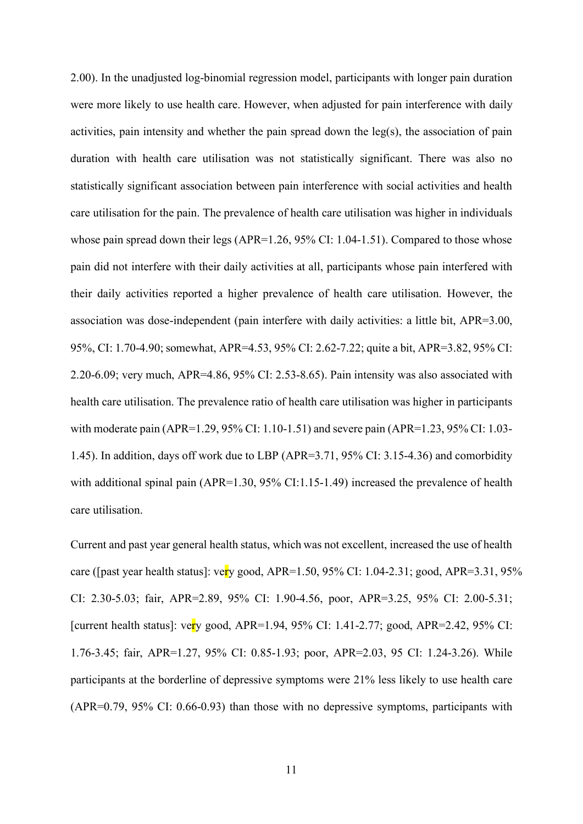2.00). In the unadjusted log-binomial regression model, participants with longer pain duration were more likely to use health care. However, when adjusted for pain interference with daily activities, pain intensity and whether the pain spread down the  $leg(s)$ , the association of pain duration with health care utilisation was not statistically significant. There was also no statistically significant association between pain interference with social activities and health care utilisation for the pain. The prevalence of health care utilisation was higher in individuals whose pain spread down their legs (APR=1.26, 95% CI: 1.04-1.51). Compared to those whose pain did not interfere with their daily activities at all, participants whose pain interfered with their daily activities reported a higher prevalence of health care utilisation. However, the association was dose-independent (pain interfere with daily activities: a little bit, APR=3.00, 95%, CI: 1.70-4.90; somewhat, APR=4.53, 95% CI: 2.62-7.22; quite a bit, APR=3.82, 95% CI: 2.20-6.09; very much, APR=4.86, 95% CI: 2.53-8.65). Pain intensity was also associated with health care utilisation. The prevalence ratio of health care utilisation was higher in participants with moderate pain (APR=1.29, 95% CI: 1.10-1.51) and severe pain (APR=1.23, 95% CI: 1.03- 1.45). In addition, days off work due to LBP (APR=3.71, 95% CI: 3.15-4.36) and comorbidity with additional spinal pain (APR=1.30, 95% CI:1.15-1.49) increased the prevalence of health care utilisation.

Current and past year general health status, which was not excellent, increased the use of health care ([past year health status]: very good, APR=1.50, 95% CI: 1.04-2.31; good, APR=3.31, 95% CI: 2.30-5.03; fair, APR=2.89, 95% CI: 1.90-4.56, poor, APR=3.25, 95% CI: 2.00-5.31; [current health status]: very good, APR=1.94, 95% CI: 1.41-2.77; good, APR=2.42, 95% CI: 1.76-3.45; fair, APR=1.27, 95% CI: 0.85-1.93; poor, APR=2.03, 95 CI: 1.24-3.26). While participants at the borderline of depressive symptoms were 21% less likely to use health care (APR=0.79, 95% CI: 0.66-0.93) than those with no depressive symptoms, participants with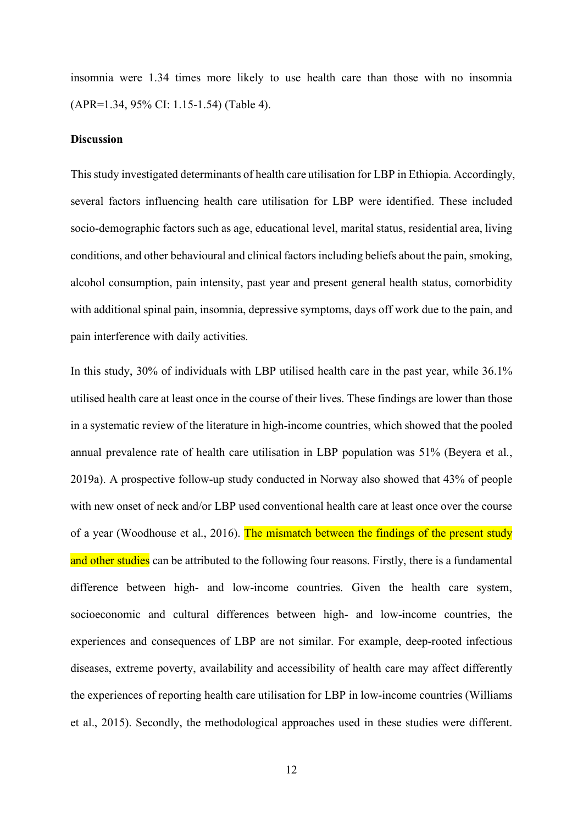insomnia were 1.34 times more likely to use health care than those with no insomnia (APR=1.34, 95% CI: 1.15-1.54) (Table 4).

#### **Discussion**

This study investigated determinants of health care utilisation for LBP in Ethiopia. Accordingly, several factors influencing health care utilisation for LBP were identified. These included socio-demographic factors such as age, educational level, marital status, residential area, living conditions, and other behavioural and clinical factors including beliefs about the pain, smoking, alcohol consumption, pain intensity, past year and present general health status, comorbidity with additional spinal pain, insomnia, depressive symptoms, days off work due to the pain, and pain interference with daily activities.

In this study, 30% of individuals with LBP utilised health care in the past year, while 36.1% utilised health care at least once in the course of their lives. These findings are lower than those in a systematic review of the literature in high-income countries, which showed that the pooled annual prevalence rate of health care utilisation in LBP population was 51% (Beyera et al., 2019a). A prospective follow-up study conducted in Norway also showed that 43% of people with new onset of neck and/or LBP used conventional health care at least once over the course of a year (Woodhouse et al., 2016). The mismatch between the findings of the present study and other studies can be attributed to the following four reasons. Firstly, there is a fundamental difference between high- and low-income countries. Given the health care system, socioeconomic and cultural differences between high- and low-income countries, the experiences and consequences of LBP are not similar. For example, deep-rooted infectious diseases, extreme poverty, availability and accessibility of health care may affect differently the experiences of reporting health care utilisation for LBP in low-income countries (Williams et al., 2015). Secondly, the methodological approaches used in these studies were different.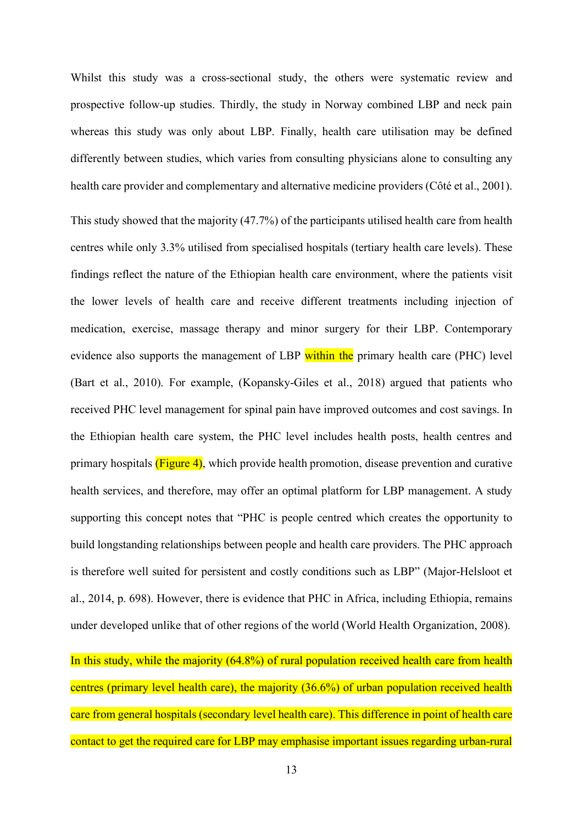Whilst this study was a cross-sectional study, the others were systematic review and prospective follow-up studies. Thirdly, the study in Norway combined LBP and neck pain whereas this study was only about LBP. Finally, health care utilisation may be defined differently between studies, which varies from consulting physicians alone to consulting any health care provider and complementary and alternative medicine providers (Côté et al., 2001).

This study showed that the majority (47.7%) of the participants utilised health care from health centres while only 3.3% utilised from specialised hospitals (tertiary health care levels). These findings reflect the nature of the Ethiopian health care environment, where the patients visit the lower levels of health care and receive different treatments including injection of medication, exercise, massage therapy and minor surgery for their LBP. Contemporary evidence also supports the management of LBP within the primary health care (PHC) level (Bart et al., 2010). For example, (Kopansky-Giles et al., 2018) argued that patients who received PHC level management for spinal pain have improved outcomes and cost savings. In the Ethiopian health care system, the PHC level includes health posts, health centres and primary hospitals  $(Figure 4)$ , which provide health promotion, disease prevention and curative health services, and therefore, may offer an optimal platform for LBP management. A study supporting this concept notes that "PHC is people centred which creates the opportunity to build longstanding relationships between people and health care providers. The PHC approach is therefore well suited for persistent and costly conditions such as LBP" (Major-Helsloot et al., 2014, p. 698). However, there is evidence that PHC in Africa, including Ethiopia, remains under developed unlike that of other regions of the world (World Health Organization, 2008).

In this study, while the majority (64.8%) of rural population received health care from health centres (primary level health care), the majority (36.6%) of urban population received health care from general hospitals (secondary level health care). This difference in point of health care contact to get the required care for LBP may emphasise important issues regarding urban-rural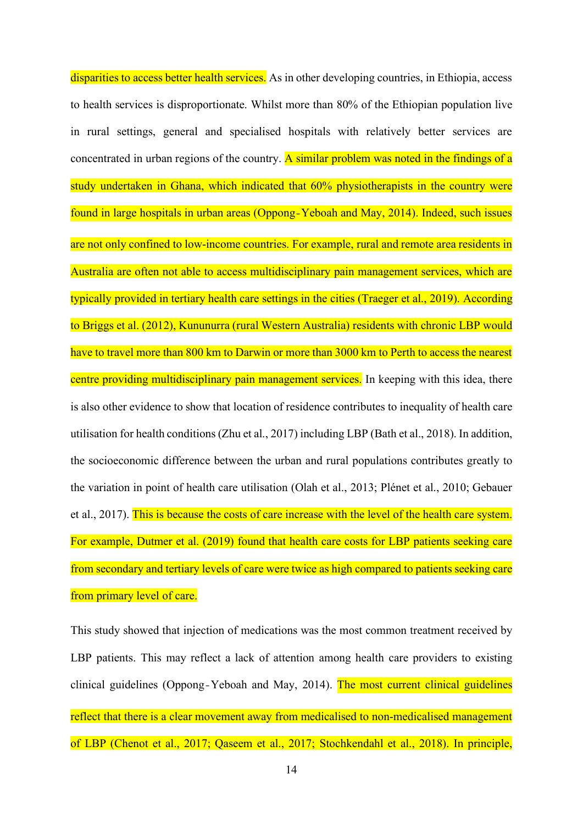disparities to access better health services. As in other developing countries, in Ethiopia, access to health services is disproportionate. Whilst more than 80% of the Ethiopian population live in rural settings, general and specialised hospitals with relatively better services are concentrated in urban regions of the country. A similar problem was noted in the findings of a study undertaken in Ghana, which indicated that 60% physiotherapists in the country were found in large hospitals in urban areas (Oppong‐Yeboah and May, 2014). Indeed, such issues are not only confined to low-income countries. For example, rural and remote area residents in Australia are often not able to access multidisciplinary pain management services, which are typically provided in tertiary health care settings in the cities (Traeger et al., 2019). According to Briggs et al. (2012), Kununurra (rural Western Australia) residents with chronic LBP would have to travel more than 800 km to Darwin or more than 3000 km to Perth to access the nearest centre providing multidisciplinary pain management services. In keeping with this idea, there is also other evidence to show that location of residence contributes to inequality of health care utilisation for health conditions (Zhu et al., 2017) including LBP (Bath et al., 2018). In addition, the socioeconomic difference between the urban and rural populations contributes greatly to the variation in point of health care utilisation (Olah et al., 2013; Plénet et al., 2010; Gebauer et al., 2017). This is because the costs of care increase with the level of the health care system. For example, Dutmer et al. (2019) found that health care costs for LBP patients seeking care from secondary and tertiary levels of care were twice as high compared to patients seeking care from primary level of care.

This study showed that injection of medications was the most common treatment received by LBP patients. This may reflect a lack of attention among health care providers to existing clinical guidelines (Oppong‐Yeboah and May, 2014). The most current clinical guidelines reflect that there is a clear movement away from medicalised to non-medicalised management of LBP (Chenot et al., 2017; Qaseem et al., 2017; Stochkendahl et al., 2018). In principle,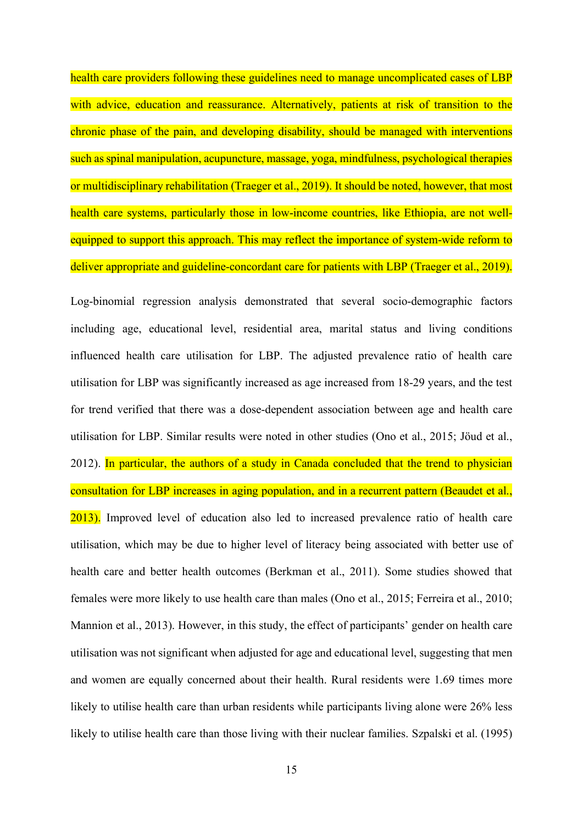health care providers following these guidelines need to manage uncomplicated cases of LBP with advice, education and reassurance. Alternatively, patients at risk of transition to the chronic phase of the pain, and developing disability, should be managed with interventions such as spinal manipulation, acupuncture, massage, yoga, mindfulness, psychological therapies or multidisciplinary rehabilitation (Traeger et al., 2019). It should be noted, however, that most health care systems, particularly those in low-income countries, like Ethiopia, are not wellequipped to support this approach. This may reflect the importance of system-wide reform to deliver appropriate and guideline-concordant care for patients with LBP (Traeger et al., 2019).

Log-binomial regression analysis demonstrated that several socio-demographic factors including age, educational level, residential area, marital status and living conditions influenced health care utilisation for LBP. The adjusted prevalence ratio of health care utilisation for LBP was significantly increased as age increased from 18-29 years, and the test for trend verified that there was a dose-dependent association between age and health care utilisation for LBP. Similar results were noted in other studies (Ono et al., 2015; Jöud et al., 2012). In particular, the authors of a study in Canada concluded that the trend to physician consultation for LBP increases in aging population, and in a recurrent pattern (Beaudet et al., 2013). Improved level of education also led to increased prevalence ratio of health care utilisation, which may be due to higher level of literacy being associated with better use of health care and better health outcomes (Berkman et al., 2011). Some studies showed that females were more likely to use health care than males (Ono et al., 2015; Ferreira et al., 2010; Mannion et al., 2013). However, in this study, the effect of participants' gender on health care utilisation was not significant when adjusted for age and educational level, suggesting that men and women are equally concerned about their health. Rural residents were 1.69 times more likely to utilise health care than urban residents while participants living alone were 26% less likely to utilise health care than those living with their nuclear families. Szpalski et al. (1995)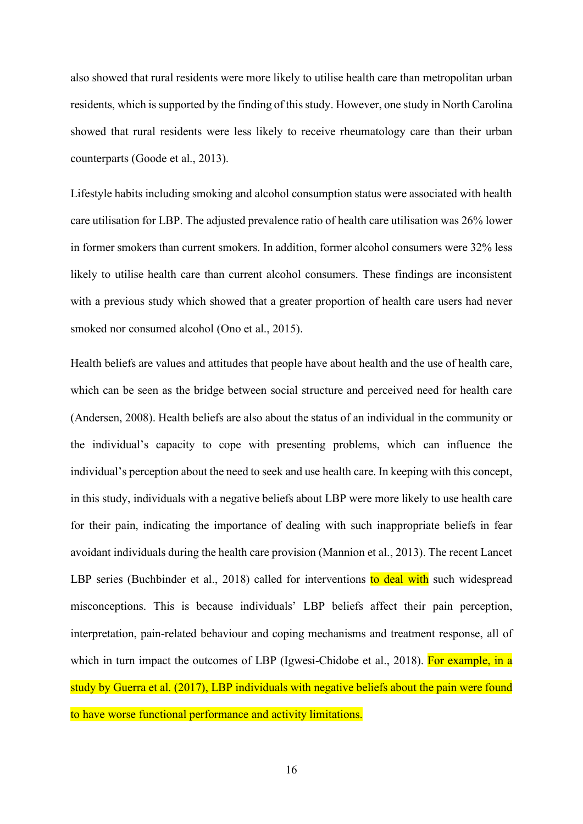also showed that rural residents were more likely to utilise health care than metropolitan urban residents, which is supported by the finding of this study. However, one study in North Carolina showed that rural residents were less likely to receive rheumatology care than their urban counterparts (Goode et al., 2013).

Lifestyle habits including smoking and alcohol consumption status were associated with health care utilisation for LBP. The adjusted prevalence ratio of health care utilisation was 26% lower in former smokers than current smokers. In addition, former alcohol consumers were 32% less likely to utilise health care than current alcohol consumers. These findings are inconsistent with a previous study which showed that a greater proportion of health care users had never smoked nor consumed alcohol (Ono et al., 2015).

Health beliefs are values and attitudes that people have about health and the use of health care, which can be seen as the bridge between social structure and perceived need for health care (Andersen, 2008). Health beliefs are also about the status of an individual in the community or the individual's capacity to cope with presenting problems, which can influence the individual's perception about the need to seek and use health care. In keeping with this concept, in this study, individuals with a negative beliefs about LBP were more likely to use health care for their pain, indicating the importance of dealing with such inappropriate beliefs in fear avoidant individuals during the health care provision (Mannion et al., 2013). The recent Lancet LBP series (Buchbinder et al., 2018) called for interventions to deal with such widespread misconceptions. This is because individuals' LBP beliefs affect their pain perception, interpretation, pain-related behaviour and coping mechanisms and treatment response, all of which in turn impact the outcomes of LBP (Igwesi-Chidobe et al., 2018). For example, in a study by Guerra et al. (2017), LBP individuals with negative beliefs about the pain were found to have worse functional performance and activity limitations.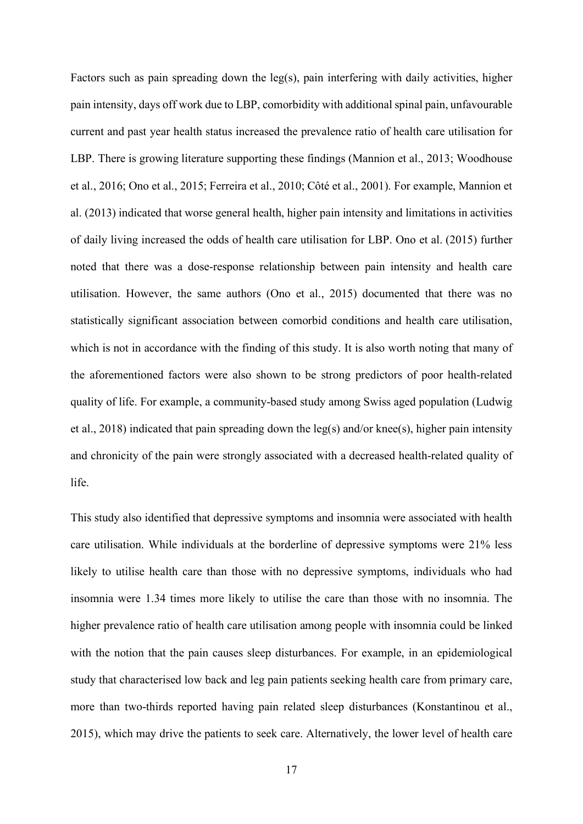Factors such as pain spreading down the leg(s), pain interfering with daily activities, higher pain intensity, days off work due to LBP, comorbidity with additional spinal pain, unfavourable current and past year health status increased the prevalence ratio of health care utilisation for LBP. There is growing literature supporting these findings (Mannion et al., 2013; Woodhouse et al., 2016; Ono et al., 2015; Ferreira et al., 2010; Côté et al., 2001). For example, Mannion et al. (2013) indicated that worse general health, higher pain intensity and limitations in activities of daily living increased the odds of health care utilisation for LBP. Ono et al. (2015) further noted that there was a dose-response relationship between pain intensity and health care utilisation. However, the same authors (Ono et al., 2015) documented that there was no statistically significant association between comorbid conditions and health care utilisation, which is not in accordance with the finding of this study. [It is also worth noting that](https://www.powerthesaurus.org/it_is_also_worth_noting_that/synonyms) many of the aforementioned factors were also shown to be strong predictors of poor health-related quality of life. For example, a community-based study among Swiss aged population (Ludwig et al., 2018) indicated that pain spreading down the leg(s) and/or knee(s), higher pain intensity and chronicity of the pain were strongly associated with a decreased health-related quality of life.

This study also identified that depressive symptoms and insomnia were associated with health care utilisation. While individuals at the borderline of depressive symptoms were 21% less likely to utilise health care than those with no depressive symptoms, individuals who had insomnia were 1.34 times more likely to utilise the care than those with no insomnia. The higher prevalence ratio of health care utilisation among people with insomnia could be linked with the notion that the pain causes sleep disturbances. For example, in an epidemiological study that characterised low back and leg pain patients seeking health care from primary care, more than two-thirds reported having pain related sleep disturbances (Konstantinou et al., 2015), which may drive the patients to seek care. Alternatively, the lower level of health care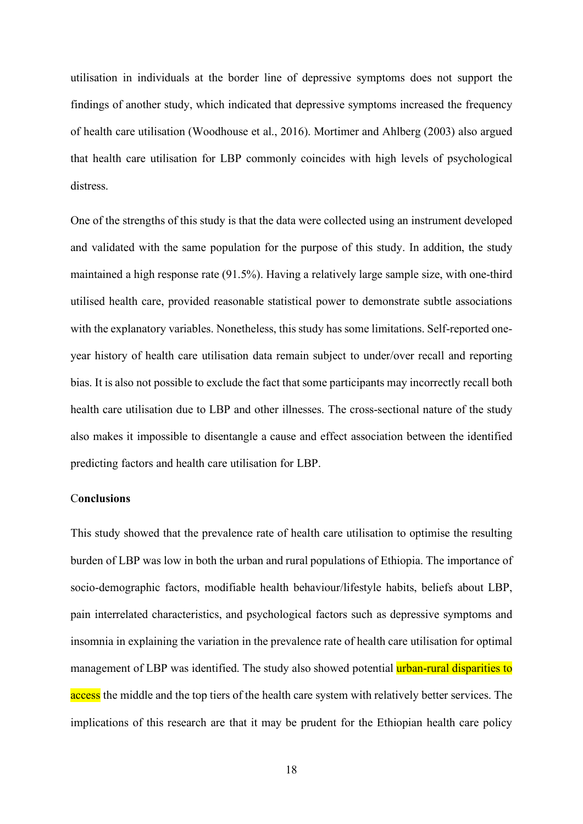utilisation in individuals at the border line of depressive symptoms does not support the findings of another study, which indicated that depressive symptoms increased the frequency of health care utilisation (Woodhouse et al., 2016). Mortimer and Ahlberg (2003) also argued that health care utilisation for LBP commonly coincides with high levels of psychological distress.

One of the strengths of this study is that the data were collected using an instrument developed and validated with the same population for the purpose of this study. In addition, the study maintained a high response rate (91.5%). Having a relatively large sample size, with one-third utilised health care, provided reasonable statistical power to demonstrate subtle associations with the explanatory variables. Nonetheless, this study has some limitations. Self-reported oneyear history of health care utilisation data remain subject to under/over recall and reporting bias. It is also not possible to exclude the fact that some participants may incorrectly recall both health care utilisation due to LBP and other illnesses. The cross-sectional nature of the study also makes it impossible to disentangle a cause and effect association between the identified predicting factors and health care utilisation for LBP.

#### C**onclusions**

This study showed that the prevalence rate of health care utilisation to optimise the resulting burden of LBP was low in both the urban and rural populations of Ethiopia. The importance of socio-demographic factors, modifiable health behaviour/lifestyle habits, beliefs about LBP, pain interrelated characteristics, and psychological factors such as depressive symptoms and insomnia in explaining the variation in the prevalence rate of health care utilisation for optimal management of LBP was identified. The study also showed potential *urban-rural disparities to* access the middle and the top tiers of the health care system with relatively better services. The implications of this research are that it may be prudent for the Ethiopian health care policy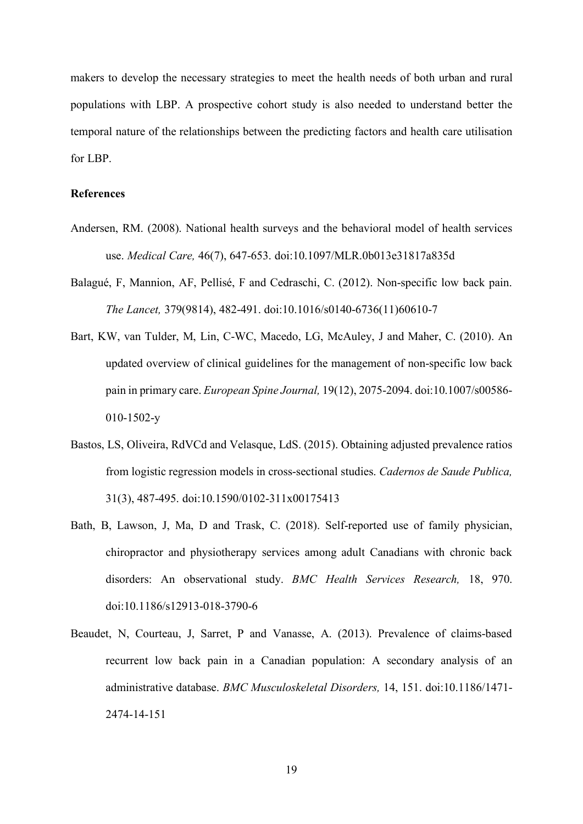makers to develop the necessary strategies to meet the health needs of both urban and rural populations with LBP. A prospective cohort study is also needed to understand better the temporal nature of the relationships between the predicting factors and health care utilisation for LBP.

#### **References**

- Andersen, RM. (2008). National health surveys and the behavioral model of health services use. *Medical Care,* 46(7), 647-653. doi:10.1097/MLR.0b013e31817a835d
- Balagué, F, Mannion, AF, Pellisé, F and Cedraschi, C. (2012). Non-specific low back pain. *The Lancet,* 379(9814), 482-491. doi:10.1016/s0140-6736(11)60610-7
- Bart, KW, van Tulder, M, Lin, C-WC, Macedo, LG, McAuley, J and Maher, C. (2010). An updated overview of clinical guidelines for the management of non-specific low back pain in primary care. *European Spine Journal,* 19(12), 2075-2094. doi:10.1007/s00586- 010-1502-y
- Bastos, LS, Oliveira, RdVCd and Velasque, LdS. (2015). Obtaining adjusted prevalence ratios from logistic regression models in cross-sectional studies. *Cadernos de Saude Publica,* 31(3), 487-495. doi:10.1590/0102-311x00175413
- Bath, B, Lawson, J, Ma, D and Trask, C. (2018). Self-reported use of family physician, chiropractor and physiotherapy services among adult Canadians with chronic back disorders: An observational study. *BMC Health Services Research,* 18, 970. doi:10.1186/s12913-018-3790-6
- Beaudet, N, Courteau, J, Sarret, P and Vanasse, A. (2013). Prevalence of claims-based recurrent low back pain in a Canadian population: A secondary analysis of an administrative database. *BMC Musculoskeletal Disorders,* 14, 151. doi:10.1186/1471- 2474-14-151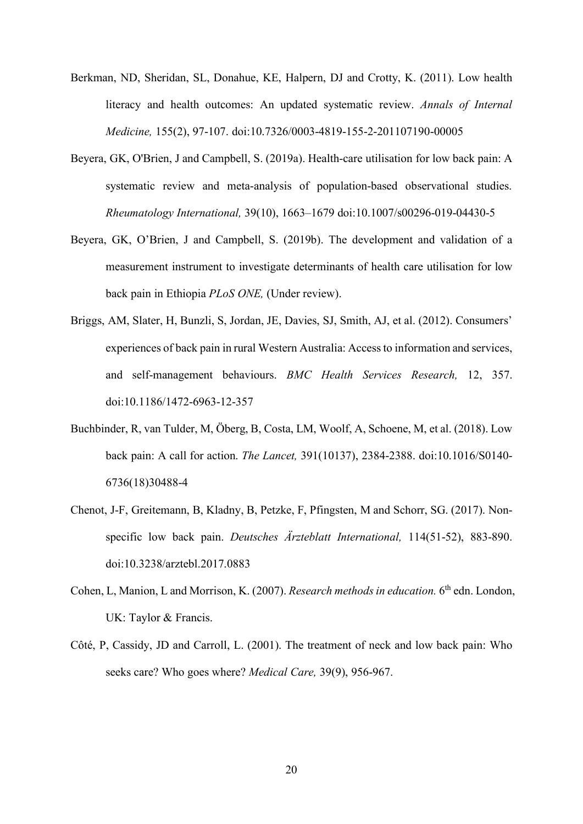- Berkman, ND, Sheridan, SL, Donahue, KE, Halpern, DJ and Crotty, K. (2011). Low health literacy and health outcomes: An updated systematic review. *Annals of Internal Medicine,* 155(2), 97-107. doi:10.7326/0003-4819-155-2-201107190-00005
- Beyera, GK, O'Brien, J and Campbell, S. (2019a). Health-care utilisation for low back pain: A systematic review and meta-analysis of population-based observational studies. *Rheumatology International,* 39(10), 1663–1679 doi:10.1007/s00296-019-04430-5
- Beyera, GK, O'Brien, J and Campbell, S. (2019b). The development and validation of a measurement instrument to investigate determinants of health care utilisation for low back pain in Ethiopia *PLoS ONE,* (Under review).
- Briggs, AM, Slater, H, Bunzli, S, Jordan, JE, Davies, SJ, Smith, AJ, et al. (2012). Consumers' experiences of back pain in rural Western Australia: Access to information and services, and self-management behaviours. *BMC Health Services Research,* 12, 357. doi:10.1186/1472-6963-12-357
- Buchbinder, R, van Tulder, M, Öberg, B, Costa, LM, Woolf, A, Schoene, M, et al. (2018). Low back pain: A call for action. *The Lancet,* 391(10137), 2384-2388. doi:10.1016/S0140- 6736(18)30488-4
- Chenot, J-F, Greitemann, B, Kladny, B, Petzke, F, Pfingsten, M and Schorr, SG. (2017). Nonspecific low back pain. *Deutsches Ärzteblatt International,* 114(51-52), 883-890. doi:10.3238/arztebl.2017.0883
- Cohen, L, Manion, L and Morrison, K. (2007). *Research methods in education*. 6<sup>th</sup> edn. London, UK: Taylor & Francis.
- Côté, P, Cassidy, JD and Carroll, L. (2001). The treatment of neck and low back pain: Who seeks care? Who goes where? *Medical Care,* 39(9), 956-967.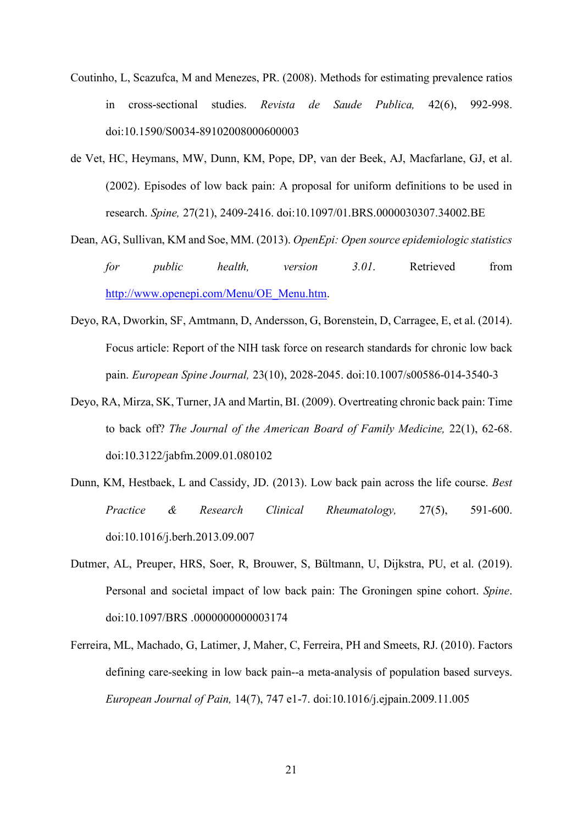- Coutinho, L, Scazufca, M and Menezes, PR. (2008). Methods for estimating prevalence ratios in cross-sectional studies. *Revista de Saude Publica,* 42(6), 992-998. doi:10.1590/S0034-89102008000600003
- de Vet, HC, Heymans, MW, Dunn, KM, Pope, DP, van der Beek, AJ, Macfarlane, GJ, et al. (2002). Episodes of low back pain: A proposal for uniform definitions to be used in research. *Spine,* 27(21), 2409-2416. doi:10.1097/01.BRS.0000030307.34002.BE
- Dean, AG, Sullivan, KM and Soe, MM. (2013). *OpenEpi: Open source epidemiologic statistics for public health, version 3.01*. Retrieved from [http://www.openepi.com/Menu/OE\\_Menu.htm.](http://www.openepi.com/Menu/OE_Menu.htm)
- Deyo, RA, Dworkin, SF, Amtmann, D, Andersson, G, Borenstein, D, Carragee, E, et al. (2014). Focus article: Report of the NIH task force on research standards for chronic low back pain. *European Spine Journal,* 23(10), 2028-2045. doi:10.1007/s00586-014-3540-3
- Deyo, RA, Mirza, SK, Turner, JA and Martin, BI. (2009). Overtreating chronic back pain: Time to back off? *The Journal of the American Board of Family Medicine,* 22(1), 62-68. doi:10.3122/jabfm.2009.01.080102
- Dunn, KM, Hestbaek, L and Cassidy, JD. (2013). Low back pain across the life course. *Best Practice & Research Clinical Rheumatology,* 27(5), 591-600. doi:10.1016/j.berh.2013.09.007
- Dutmer, AL, Preuper, HRS, Soer, R, Brouwer, S, Bültmann, U, Dijkstra, PU, et al. (2019). Personal and societal impact of low back pain: The Groningen spine cohort. *Spine*. doi:10.1097/BRS .0000000000003174
- Ferreira, ML, Machado, G, Latimer, J, Maher, C, Ferreira, PH and Smeets, RJ. (2010). Factors defining care-seeking in low back pain--a meta-analysis of population based surveys. *European Journal of Pain,* 14(7), 747 e1-7. doi:10.1016/j.ejpain.2009.11.005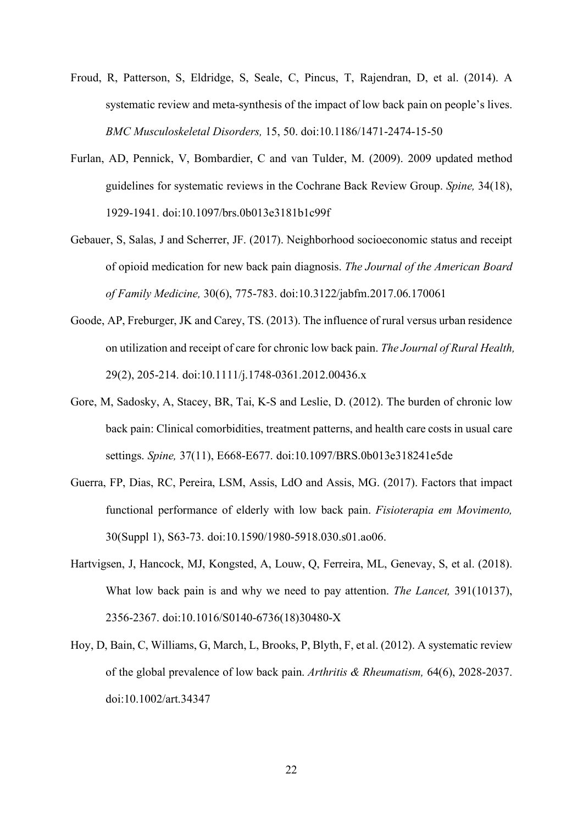- Froud, R, Patterson, S, Eldridge, S, Seale, C, Pincus, T, Rajendran, D, et al. (2014). A systematic review and meta-synthesis of the impact of low back pain on people's lives. *BMC Musculoskeletal Disorders,* 15, 50. doi:10.1186/1471-2474-15-50
- Furlan, AD, Pennick, V, Bombardier, C and van Tulder, M. (2009). 2009 updated method guidelines for systematic reviews in the Cochrane Back Review Group. *Spine,* 34(18), 1929-1941. doi:10.1097/brs.0b013e3181b1c99f
- Gebauer, S, Salas, J and Scherrer, JF. (2017). Neighborhood socioeconomic status and receipt of opioid medication for new back pain diagnosis. *The Journal of the American Board of Family Medicine,* 30(6), 775-783. doi:10.3122/jabfm.2017.06.170061
- Goode, AP, Freburger, JK and Carey, TS. (2013). The influence of rural versus urban residence on utilization and receipt of care for chronic low back pain. *The Journal of Rural Health,* 29(2), 205-214. doi:10.1111/j.1748-0361.2012.00436.x
- Gore, M, Sadosky, A, Stacey, BR, Tai, K-S and Leslie, D. (2012). The burden of chronic low back pain: Clinical comorbidities, treatment patterns, and health care costs in usual care settings. *Spine,* 37(11), E668-E677. doi:10.1097/BRS.0b013e318241e5de
- Guerra, FP, Dias, RC, Pereira, LSM, Assis, LdO and Assis, MG. (2017). Factors that impact functional performance of elderly with low back pain. *Fisioterapia em Movimento,* 30(Suppl 1), S63-73. doi:10.1590/1980-5918.030.s01.ao06.
- Hartvigsen, J, Hancock, MJ, Kongsted, A, Louw, Q, Ferreira, ML, Genevay, S, et al. (2018). What low back pain is and why we need to pay attention. *The Lancet,* 391(10137), 2356-2367. doi:10.1016/S0140-6736(18)30480-X
- Hoy, D, Bain, C, Williams, G, March, L, Brooks, P, Blyth, F, et al. (2012). A systematic review of the global prevalence of low back pain. *Arthritis & Rheumatism,* 64(6), 2028-2037. doi:10.1002/art.34347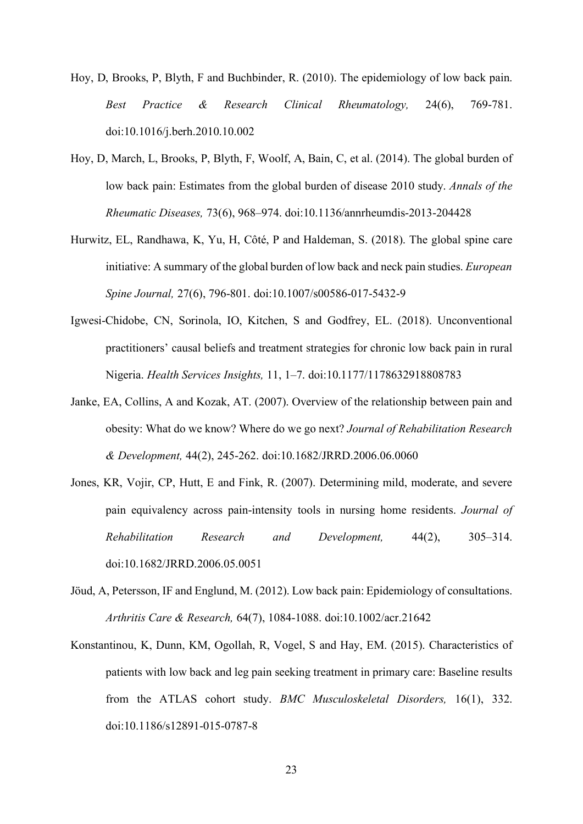- Hoy, D, Brooks, P, Blyth, F and Buchbinder, R. (2010). The epidemiology of low back pain. *Best Practice & Research Clinical Rheumatology,* 24(6), 769-781. doi:10.1016/j.berh.2010.10.002
- Hoy, D, March, L, Brooks, P, Blyth, F, Woolf, A, Bain, C, et al. (2014). The global burden of low back pain: Estimates from the global burden of disease 2010 study. *Annals of the Rheumatic Diseases,* 73(6), 968–974. doi:10.1136/annrheumdis-2013-204428
- Hurwitz, EL, Randhawa, K, Yu, H, Côté, P and Haldeman, S. (2018). The global spine care initiative: A summary of the global burden of low back and neck pain studies. *European Spine Journal,* 27(6), 796-801. doi:10.1007/s00586-017-5432-9
- Igwesi-Chidobe, CN, Sorinola, IO, Kitchen, S and Godfrey, EL. (2018). Unconventional practitioners' causal beliefs and treatment strategies for chronic low back pain in rural Nigeria. *Health Services Insights,* 11, 1–7. doi:10.1177/1178632918808783
- Janke, EA, Collins, A and Kozak, AT. (2007). Overview of the relationship between pain and obesity: What do we know? Where do we go next? *Journal of Rehabilitation Research & Development,* 44(2), 245-262. doi:10.1682/JRRD.2006.06.0060
- Jones, KR, Vojir, CP, Hutt, E and Fink, R. (2007). Determining mild, moderate, and severe pain equivalency across pain-intensity tools in nursing home residents. *Journal of Rehabilitation Research and Development,* 44(2), 305–314. doi:10.1682/JRRD.2006.05.0051
- Jöud, A, Petersson, IF and Englund, M. (2012). Low back pain: Epidemiology of consultations. *Arthritis Care & Research,* 64(7), 1084-1088. doi:10.1002/acr.21642
- Konstantinou, K, Dunn, KM, Ogollah, R, Vogel, S and Hay, EM. (2015). Characteristics of patients with low back and leg pain seeking treatment in primary care: Baseline results from the ATLAS cohort study. *BMC Musculoskeletal Disorders,* 16(1), 332. doi:10.1186/s12891-015-0787-8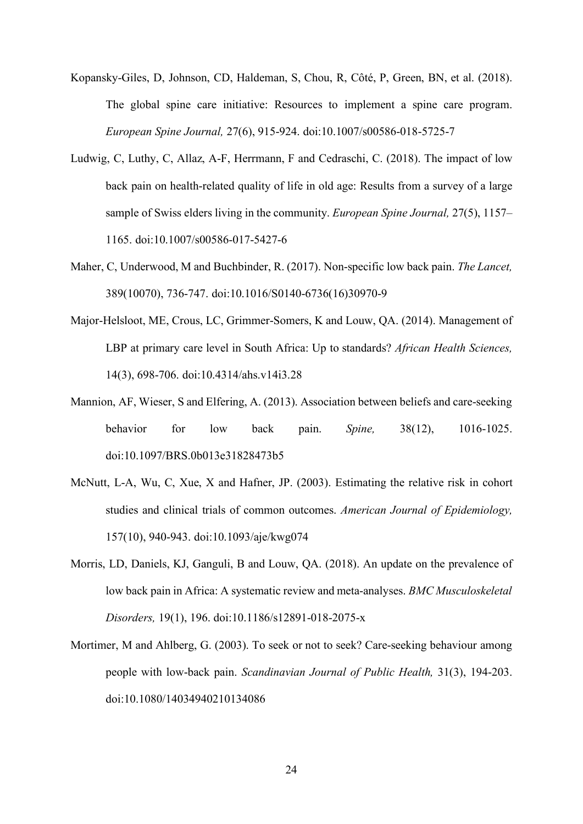- Kopansky-Giles, D, Johnson, CD, Haldeman, S, Chou, R, Côté, P, Green, BN, et al. (2018). The global spine care initiative: Resources to implement a spine care program. *European Spine Journal,* 27(6), 915-924. doi:10.1007/s00586-018-5725-7
- Ludwig, C, Luthy, C, Allaz, A-F, Herrmann, F and Cedraschi, C. (2018). The impact of low back pain on health-related quality of life in old age: Results from a survey of a large sample of Swiss elders living in the community. *European Spine Journal,* 27(5), 1157– 1165. doi:10.1007/s00586-017-5427-6
- Maher, C, Underwood, M and Buchbinder, R. (2017). Non-specific low back pain. *The Lancet,* 389(10070), 736-747. doi:10.1016/S0140-6736(16)30970-9
- Major-Helsloot, ME, Crous, LC, Grimmer-Somers, K and Louw, QA. (2014). Management of LBP at primary care level in South Africa: Up to standards? *African Health Sciences,* 14(3), 698-706. doi:10.4314/ahs.v14i3.28
- Mannion, AF, Wieser, S and Elfering, A. (2013). Association between beliefs and care-seeking behavior for low back pain. *Spine,* 38(12), 1016-1025. doi:10.1097/BRS.0b013e31828473b5
- McNutt, L-A, Wu, C, Xue, X and Hafner, JP. (2003). Estimating the relative risk in cohort studies and clinical trials of common outcomes. *American Journal of Epidemiology,* 157(10), 940-943. doi:10.1093/aje/kwg074
- Morris, LD, Daniels, KJ, Ganguli, B and Louw, QA. (2018). An update on the prevalence of low back pain in Africa: A systematic review and meta-analyses. *BMC Musculoskeletal Disorders,* 19(1), 196. doi:10.1186/s12891-018-2075-x
- Mortimer, M and Ahlberg, G. (2003). To seek or not to seek? Care-seeking behaviour among people with low-back pain. *Scandinavian Journal of Public Health,* 31(3), 194-203. doi:10.1080/14034940210134086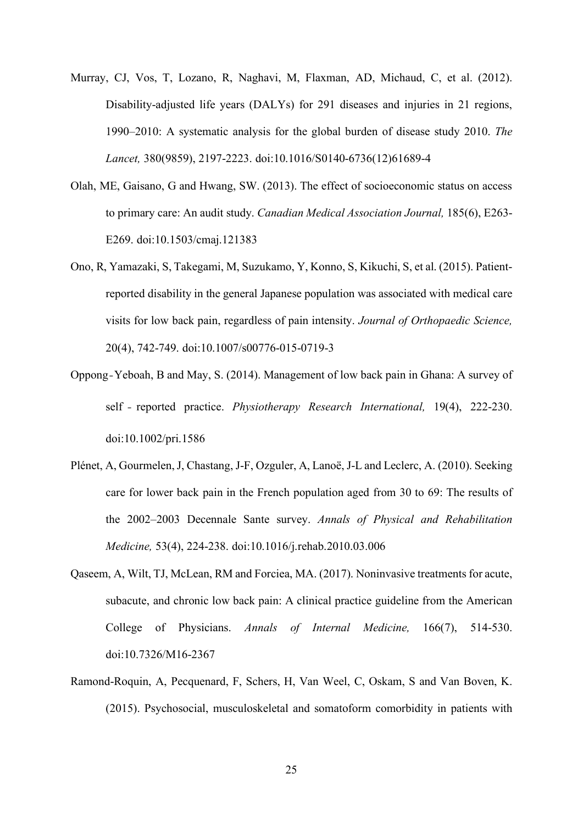- Murray, CJ, Vos, T, Lozano, R, Naghavi, M, Flaxman, AD, Michaud, C, et al. (2012). Disability-adjusted life years (DALYs) for 291 diseases and injuries in 21 regions, 1990–2010: A systematic analysis for the global burden of disease study 2010. *The Lancet,* 380(9859), 2197-2223. doi:10.1016/S0140-6736(12)61689-4
- Olah, ME, Gaisano, G and Hwang, SW. (2013). The effect of socioeconomic status on access to primary care: An audit study. *Canadian Medical Association Journal,* 185(6), E263- E269. doi:10.1503/cmaj.121383
- Ono, R, Yamazaki, S, Takegami, M, Suzukamo, Y, Konno, S, Kikuchi, S, et al. (2015). Patientreported disability in the general Japanese population was associated with medical care visits for low back pain, regardless of pain intensity. *Journal of Orthopaedic Science,* 20(4), 742-749. doi:10.1007/s00776-015-0719-3
- Oppong‐Yeboah, B and May, S. (2014). Management of low back pain in Ghana: A survey of self ‐ reported practice. *Physiotherapy Research International,* 19(4), 222-230. doi:10.1002/pri.1586
- Plénet, A, Gourmelen, J, Chastang, J-F, Ozguler, A, Lanoë, J-L and Leclerc, A. (2010). Seeking care for lower back pain in the French population aged from 30 to 69: The results of the 2002–2003 Decennale Sante survey. *Annals of Physical and Rehabilitation Medicine,* 53(4), 224-238. doi:10.1016/j.rehab.2010.03.006
- Qaseem, A, Wilt, TJ, McLean, RM and Forciea, MA. (2017). Noninvasive treatments for acute, subacute, and chronic low back pain: A clinical practice guideline from the American College of Physicians. *Annals of Internal Medicine,* 166(7), 514-530. doi:10.7326/M16-2367
- Ramond-Roquin, A, Pecquenard, F, Schers, H, Van Weel, C, Oskam, S and Van Boven, K. (2015). Psychosocial, musculoskeletal and somatoform comorbidity in patients with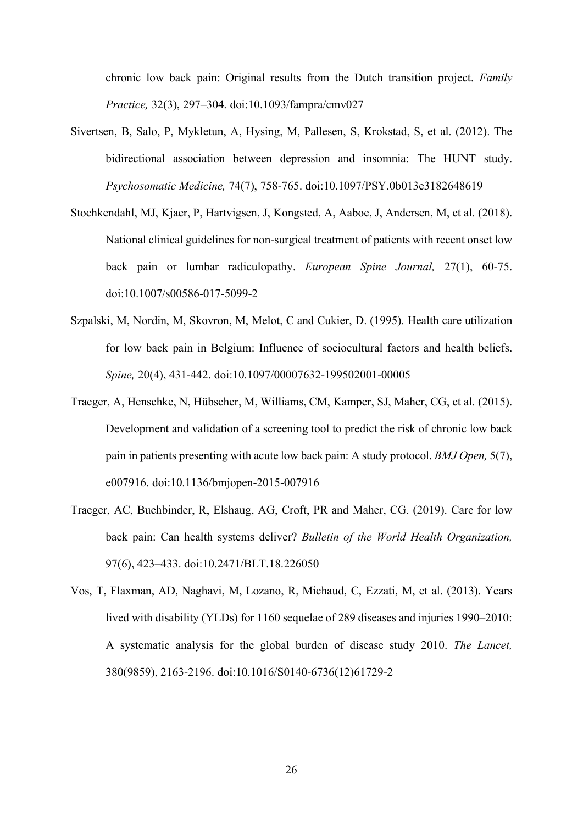chronic low back pain: Original results from the Dutch transition project. *Family Practice,* 32(3), 297–304. doi:10.1093/fampra/cmv027

- Sivertsen, B, Salo, P, Mykletun, A, Hysing, M, Pallesen, S, Krokstad, S, et al. (2012). The bidirectional association between depression and insomnia: The HUNT study. *Psychosomatic Medicine,* 74(7), 758-765. doi:10.1097/PSY.0b013e3182648619
- Stochkendahl, MJ, Kjaer, P, Hartvigsen, J, Kongsted, A, Aaboe, J, Andersen, M, et al. (2018). National clinical guidelines for non-surgical treatment of patients with recent onset low back pain or lumbar radiculopathy. *European Spine Journal,* 27(1), 60-75. doi:10.1007/s00586-017-5099-2
- Szpalski, M, Nordin, M, Skovron, M, Melot, C and Cukier, D. (1995). Health care utilization for low back pain in Belgium: Influence of sociocultural factors and health beliefs. *Spine,* 20(4), 431-442. doi:10.1097/00007632-199502001-00005
- Traeger, A, Henschke, N, Hübscher, M, Williams, CM, Kamper, SJ, Maher, CG, et al. (2015). Development and validation of a screening tool to predict the risk of chronic low back pain in patients presenting with acute low back pain: A study protocol. *BMJ Open,* 5(7), e007916. doi:10.1136/bmjopen-2015-007916
- Traeger, AC, Buchbinder, R, Elshaug, AG, Croft, PR and Maher, CG. (2019). Care for low back pain: Can health systems deliver? *Bulletin of the World Health Organization,* 97(6), 423–433. doi:10.2471/BLT.18.226050
- Vos, T, Flaxman, AD, Naghavi, M, Lozano, R, Michaud, C, Ezzati, M, et al. (2013). Years lived with disability (YLDs) for 1160 sequelae of 289 diseases and injuries 1990–2010: A systematic analysis for the global burden of disease study 2010. *The Lancet,* 380(9859), 2163-2196. doi:10.1016/S0140-6736(12)61729-2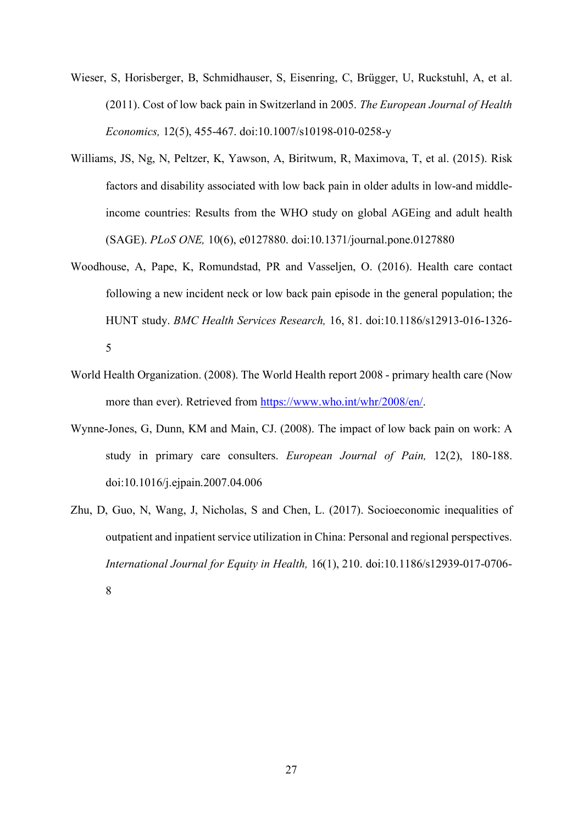- Wieser, S, Horisberger, B, Schmidhauser, S, Eisenring, C, Brügger, U, Ruckstuhl, A, et al. (2011). Cost of low back pain in Switzerland in 2005. *The European Journal of Health Economics,* 12(5), 455-467. doi:10.1007/s10198-010-0258-y
- Williams, JS, Ng, N, Peltzer, K, Yawson, A, Biritwum, R, Maximova, T, et al. (2015). Risk factors and disability associated with low back pain in older adults in low-and middleincome countries: Results from the WHO study on global AGEing and adult health (SAGE). *PLoS ONE,* 10(6), e0127880. doi:10.1371/journal.pone.0127880
- Woodhouse, A, Pape, K, Romundstad, PR and Vasseljen, O. (2016). Health care contact following a new incident neck or low back pain episode in the general population; the HUNT study. *BMC Health Services Research,* 16, 81. doi:10.1186/s12913-016-1326- 5
- World Health Organization. (2008). The World Health report 2008 primary health care (Now more than ever). Retrieved from [https://www.who.int/whr/2008/en/.](https://www.who.int/whr/2008/en/)
- Wynne-Jones, G, Dunn, KM and Main, CJ. (2008). The impact of low back pain on work: A study in primary care consulters. *European Journal of Pain,* 12(2), 180-188. doi:10.1016/j.ejpain.2007.04.006
- Zhu, D, Guo, N, Wang, J, Nicholas, S and Chen, L. (2017). Socioeconomic inequalities of outpatient and inpatient service utilization in China: Personal and regional perspectives. *International Journal for Equity in Health,* 16(1), 210. doi:10.1186/s12939-017-0706- 8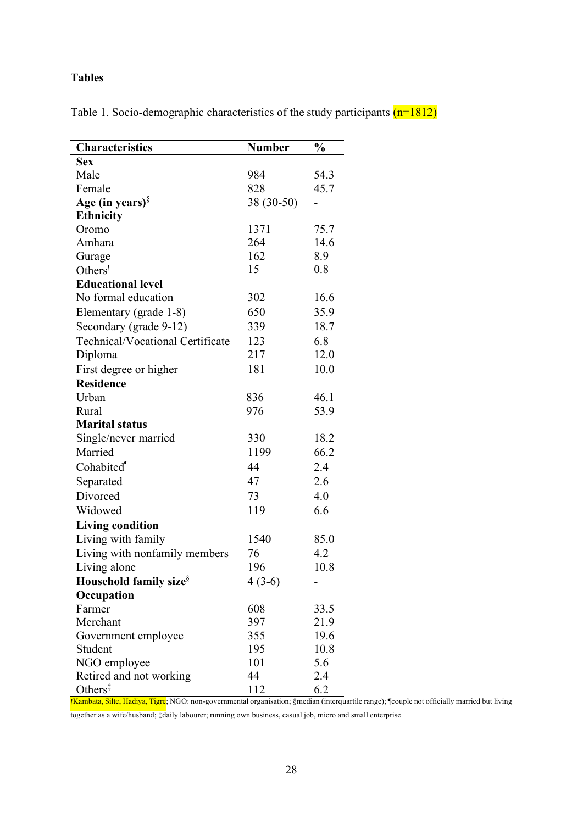# **Tables**

Table 1. Socio-demographic characteristics of the study participants  $(n=1812)$ 

| Characteristics                    | <b>Number</b> | $\frac{0}{0}$ |
|------------------------------------|---------------|---------------|
| <b>Sex</b>                         |               |               |
| Male                               | 984           | 54.3          |
| Female                             | 828           | 45.7          |
| Age (in years) $\delta$            | 38 (30-50)    |               |
| Ethnicity                          |               |               |
| Oromo                              | 1371          | 75.7          |
| Amhara                             | 264           | 14.6          |
| Gurage                             | 162           | 8.9           |
| Others <sup>!</sup>                | 15            | 0.8           |
| <b>Educational level</b>           |               |               |
| No formal education                | 302           | 16.6          |
| Elementary (grade 1-8)             | 650           | 35.9          |
| Secondary (grade 9-12)             | 339           | 18.7          |
| Technical/Vocational Certificate   | 123           | 6.8           |
| Diploma                            | 217           | 12.0          |
| First degree or higher             | 181           | 10.0          |
| <b>Residence</b>                   |               |               |
| Urban                              | 836           | 46.1          |
| Rural                              | 976           | 53.9          |
| <b>Marital status</b>              |               |               |
| Single/never married               | 330           | 18.2          |
| Married                            | 1199          | 66.2          |
| Cohabited <sup>¶</sup>             | 44            | 2.4           |
| Separated                          | 47            | 2.6           |
| Divorced                           | 73            | 4.0           |
| Widowed                            | 119           | 6.6           |
| <b>Living condition</b>            |               |               |
| Living with family                 | 1540          | 85.0          |
| Living with nonfamily members      | 76            | 4.2           |
| Living alone                       | 196           | 10.8          |
| Household family size <sup>§</sup> | $4(3-6)$      |               |
| Occupation                         |               |               |
| Farmer                             | 608           | 33.5          |
| Merchant                           | 397           | 21.9          |
| Government employee                | 355           | 19.6          |
| Student                            | 195           | 10.8          |
| NGO employee                       | 101           | 5.6           |
| Retired and not working            | 44            | 2.4           |
| Others $\ddagger$                  | 112           | 6.2           |

!Kambata, Silte, Hadiya, Tigre; NGO: non-governmental organisation; §median (interquartile range); ¶couple not officially married but living

together as a wife/husband; ‡daily labourer; running own business, casual job, micro and small enterprise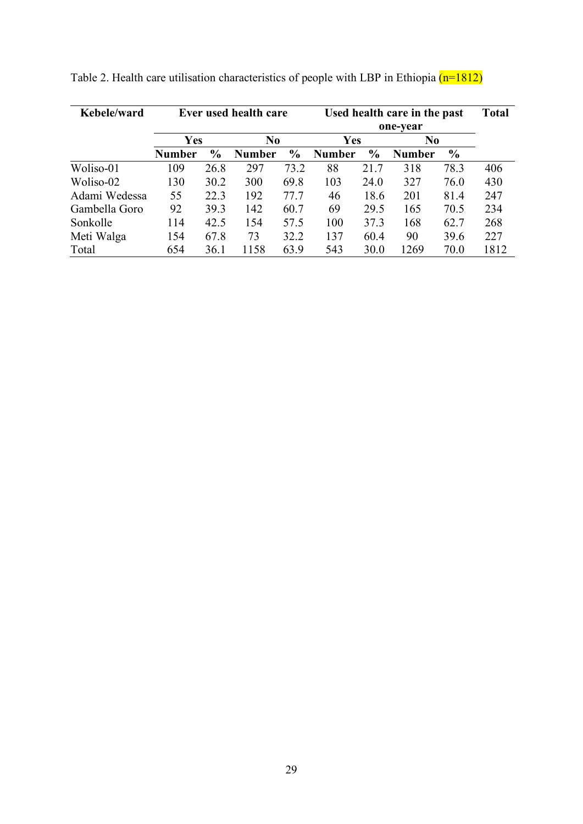| Kebele/ward   | Ever used health care |               |                | Used health care in the past<br>one-year |               |               |                | <b>Total</b>  |      |
|---------------|-----------------------|---------------|----------------|------------------------------------------|---------------|---------------|----------------|---------------|------|
|               | Yes                   |               | N <sub>0</sub> |                                          | Yes           |               | N <sub>0</sub> |               |      |
|               | <b>Number</b>         | $\frac{0}{0}$ | <b>Number</b>  | $\frac{0}{0}$                            | <b>Number</b> | $\frac{0}{0}$ | Number         | $\frac{6}{6}$ |      |
| Woliso-01     | 109                   | 26.8          | 297            | 73.2                                     | 88            | 21.7          | 318            | 78.3          | 406  |
| Woliso-02     | 130                   | 30.2          | 300            | 69.8                                     | 103           | 24.0          | 327            | 76.0          | 430  |
| Adami Wedessa | 55                    | 22.3          | 192            | 77.7                                     | 46            | 18.6          | 201            | 81.4          | 247  |
| Gambella Goro | 92                    | 39.3          | 142            | 60.7                                     | 69            | 29.5          | 165            | 70.5          | 234  |
| Sonkolle      | 114                   | 42.5          | 154            | 57.5                                     | 100           | 37.3          | 168            | 62.7          | 268  |
| Meti Walga    | 154                   | 67.8          | 73             | 32.2                                     | 137           | 60.4          | 90             | 39.6          | 227  |
| Total         | 654                   | 36.1          | 1158           | 63.9                                     | 543           | 30.0          | 1269           | 70.0          | 1812 |

Table 2. Health care utilisation characteristics of people with LBP in Ethiopia  $(n=1812)$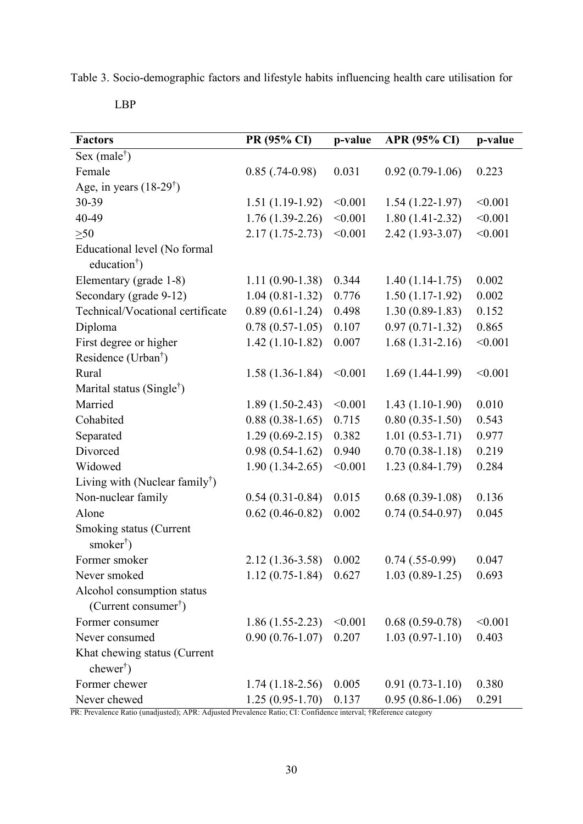Table 3. Socio-demographic factors and lifestyle habits influencing health care utilisation for

LBP

| <b>Factors</b>                                                 | PR (95% CI)       | p-value | <b>APR (95% CI)</b> | p-value |
|----------------------------------------------------------------|-------------------|---------|---------------------|---------|
| Sex (male <sup>†</sup> )                                       |                   |         |                     |         |
| Female                                                         | $0.85$ (.74-0.98) | 0.031   | $0.92(0.79-1.06)$   | 0.223   |
| Age, in years $(18-29^{\dagger})$                              |                   |         |                     |         |
| 30-39                                                          | $1.51(1.19-1.92)$ | < 0.001 | $1.54(1.22-1.97)$   | < 0.001 |
| 40-49                                                          | $1.76(1.39-2.26)$ | < 0.001 | $1.80(1.41-2.32)$   | < 0.001 |
| $\geq 50$                                                      | $2.17(1.75-2.73)$ | < 0.001 | $2.42(1.93-3.07)$   | < 0.001 |
| Educational level (No formal<br>education <sup>†</sup> )       |                   |         |                     |         |
| Elementary (grade 1-8)                                         | $1.11(0.90-1.38)$ | 0.344   | $1.40(1.14-1.75)$   | 0.002   |
| Secondary (grade 9-12)                                         | $1.04(0.81-1.32)$ | 0.776   | $1.50(1.17-1.92)$   | 0.002   |
| Technical/Vocational certificate                               | $0.89(0.61-1.24)$ | 0.498   | $1.30(0.89-1.83)$   | 0.152   |
| Diploma                                                        | $0.78(0.57-1.05)$ | 0.107   | $0.97(0.71-1.32)$   | 0.865   |
| First degree or higher                                         | $1.42(1.10-1.82)$ | 0.007   | $1.68(1.31-2.16)$   | < 0.001 |
| Residence (Urban <sup>†</sup> )                                |                   |         |                     |         |
| Rural                                                          | $1.58(1.36-1.84)$ | < 0.001 | $1.69(1.44-1.99)$   | < 0.001 |
| Marital status (Single <sup>†</sup> )                          |                   |         |                     |         |
| Married                                                        | $1.89(1.50-2.43)$ | < 0.001 | $1.43(1.10-1.90)$   | 0.010   |
| Cohabited                                                      | $0.88(0.38-1.65)$ | 0.715   | $0.80(0.35-1.50)$   | 0.543   |
| Separated                                                      | $1.29(0.69-2.15)$ | 0.382   | $1.01(0.53-1.71)$   | 0.977   |
| Divorced                                                       | $0.98(0.54-1.62)$ | 0.940   | $0.70(0.38-1.18)$   | 0.219   |
| Widowed                                                        | $1.90(1.34-2.65)$ | < 0.001 | $1.23(0.84-1.79)$   | 0.284   |
| Living with (Nuclear family <sup>†</sup> )                     |                   |         |                     |         |
| Non-nuclear family                                             | $0.54(0.31-0.84)$ | 0.015   | $0.68(0.39-1.08)$   | 0.136   |
| Alone                                                          | $0.62(0.46-0.82)$ | 0.002   | $0.74(0.54-0.97)$   | 0.045   |
| Smoking status (Current<br>smoker <sup>†</sup> )               |                   |         |                     |         |
| Former smoker                                                  | $2.12(1.36-3.58)$ | 0.002   | $0.74$ $(.55-0.99)$ | 0.047   |
| Never smoked                                                   | $1.12(0.75-1.84)$ | 0.627   | $1.03(0.89-1.25)$   | 0.693   |
| Alcohol consumption status<br>(Current consumer <sup>†</sup> ) |                   |         |                     |         |
| Former consumer                                                | $1.86(1.55-2.23)$ | < 0.001 | $0.68(0.59-0.78)$   | < 0.001 |
| Never consumed                                                 | $0.90(0.76-1.07)$ | 0.207   | $1.03(0.97-1.10)$   | 0.403   |
| Khat chewing status (Current<br>$chewer†$ )                    |                   |         |                     |         |
| Former chewer                                                  | $1.74(1.18-2.56)$ | 0.005   | $0.91(0.73-1.10)$   | 0.380   |
| Never chewed                                                   | $1.25(0.95-1.70)$ | 0.137   | $0.95(0.86-1.06)$   | 0.291   |

PR: Prevalence Ratio (unadjusted); APR: Adjusted Prevalence Ratio; CI: Confidence interval; †Reference category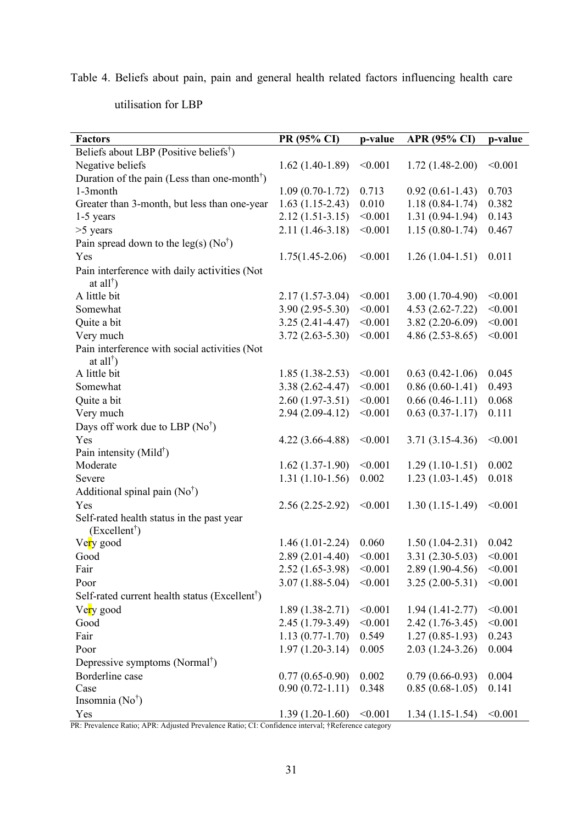Table 4. Beliefs about pain, pain and general health related factors influencing health care

utilisation for LBP

| <b>Factors</b>                                                                            | PR (95% CI)         | p-value | <b>APR (95% CI)</b> | p-value |
|-------------------------------------------------------------------------------------------|---------------------|---------|---------------------|---------|
| Beliefs about LBP (Positive beliefs <sup>†</sup> )                                        |                     |         |                     |         |
| Negative beliefs                                                                          | $1.62(1.40-1.89)$   | < 0.001 | $1.72(1.48-2.00)$   | < 0.001 |
| Duration of the pain (Less than one-month <sup>†</sup> )                                  |                     |         |                     |         |
| 1-3month                                                                                  | $1.09(0.70-1.72)$   | 0.713   | $0.92(0.61-1.43)$   | 0.703   |
| Greater than 3-month, but less than one-year                                              | $1.63(1.15-2.43)$   | 0.010   | $1.18(0.84-1.74)$   | 0.382   |
| 1-5 years                                                                                 | $2.12(1.51-3.15)$   | < 0.001 | $1.31(0.94-1.94)$   | 0.143   |
| $>5$ years                                                                                | $2.11(1.46-3.18)$   | < 0.001 | $1.15(0.80-1.74)$   | 0.467   |
| Pain spread down to the leg(s) $(No^{\dagger})$                                           |                     |         |                     |         |
| Yes                                                                                       | $1.75(1.45-2.06)$   | < 0.001 | $1.26(1.04-1.51)$   | 0.011   |
| Pain interference with daily activities (Not<br>at all <sup><math>\dagger</math></sup> )  |                     |         |                     |         |
| A little bit                                                                              | $2.17(1.57-3.04)$   | < 0.001 | $3.00(1.70-4.90)$   | < 0.001 |
| Somewhat                                                                                  | $3.90(2.95-5.30)$   | < 0.001 | $4.53(2.62 - 7.22)$ | < 0.001 |
| Quite a bit                                                                               | $3.25(2.41-4.47)$   | < 0.001 | $3.82(2.20-6.09)$   | < 0.001 |
| Very much                                                                                 | $3.72(2.63 - 5.30)$ | < 0.001 | $4.86(2.53-8.65)$   | < 0.001 |
| Pain interference with social activities (Not<br>at all <sup><math>\dagger</math></sup> ) |                     |         |                     |         |
| A little bit                                                                              | $1.85(1.38-2.53)$   | < 0.001 | $0.63(0.42-1.06)$   | 0.045   |
| Somewhat                                                                                  | 3.38 (2.62-4.47)    | < 0.001 | $0.86(0.60-1.41)$   | 0.493   |
| Quite a bit                                                                               | $2.60(1.97-3.51)$   | < 0.001 | $0.66(0.46-1.11)$   | 0.068   |
| Very much                                                                                 | 2.94 (2.09-4.12)    | < 0.001 | $0.63(0.37-1.17)$   | 0.111   |
| Days off work due to LBP $(No^{\dagger})$                                                 |                     |         |                     |         |
| Yes                                                                                       | $4.22(3.66-4.88)$   | < 0.001 | $3.71(3.15-4.36)$   | < 0.001 |
| Pain intensity (Mild <sup>†</sup> )                                                       |                     |         |                     |         |
| Moderate                                                                                  | $1.62(1.37-1.90)$   | < 0.001 | $1.29(1.10-1.51)$   | 0.002   |
| Severe                                                                                    | $1.31(1.10-1.56)$   | 0.002   | $1.23(1.03-1.45)$   | 0.018   |
| Additional spinal pain $(No^{\dagger})$                                                   |                     |         |                     |         |
| Yes                                                                                       | $2.56(2.25-2.92)$   | < 0.001 | $1.30(1.15-1.49)$   | < 0.001 |
| Self-rated health status in the past year<br>(Excellent <sup>†</sup> )                    |                     |         |                     |         |
| Very good                                                                                 | $1.46(1.01-2.24)$   | 0.060   | $1.50(1.04-2.31)$   | 0.042   |
| Good                                                                                      | $2.89(2.01-4.40)$   | < 0.001 | $3.31(2.30-5.03)$   | < 0.001 |
| Fair                                                                                      | $2.52(1.65-3.98)$   | < 0.001 | $2.89(1.90-4.56)$   | < 0.001 |
| Poor                                                                                      | $3.07(1.88-5.04)$   | < 0.001 | $3.25(2.00-5.31)$   | < 0.001 |
| Self-rated current health status (Excellent <sup>†</sup> )                                |                     |         |                     |         |
| Very good                                                                                 | $1.89(1.38-2.71)$   | < 0.001 | $1.94(1.41-2.77)$   | < 0.001 |
| Good                                                                                      | $2.45(1.79-3.49)$   | < 0.001 | $2.42(1.76-3.45)$   | < 0.001 |
| Fair                                                                                      | $1.13(0.77-1.70)$   | 0.549   | $1.27(0.85-1.93)$   | 0.243   |
| Poor                                                                                      | $1.97(1.20-3.14)$   | 0.005   | $2.03(1.24-3.26)$   | 0.004   |
| Depressive symptoms (Normal <sup>†</sup> )                                                |                     |         |                     |         |
| Borderline case                                                                           | $0.77(0.65-0.90)$   | 0.002   | $0.79(0.66-0.93)$   | 0.004   |
| Case                                                                                      | $0.90(0.72-1.11)$   | 0.348   | $0.85(0.68-1.05)$   | 0.141   |
| Insomnia $(No^{\dagger})$                                                                 |                     |         |                     |         |
| Yes                                                                                       | $1.39(1.20-1.60)$   | < 0.001 | $1.34(1.15-1.54)$   | < 0.001 |

PR: Prevalence Ratio; APR: Adjusted Prevalence Ratio; CI: Confidence interval; †Reference category